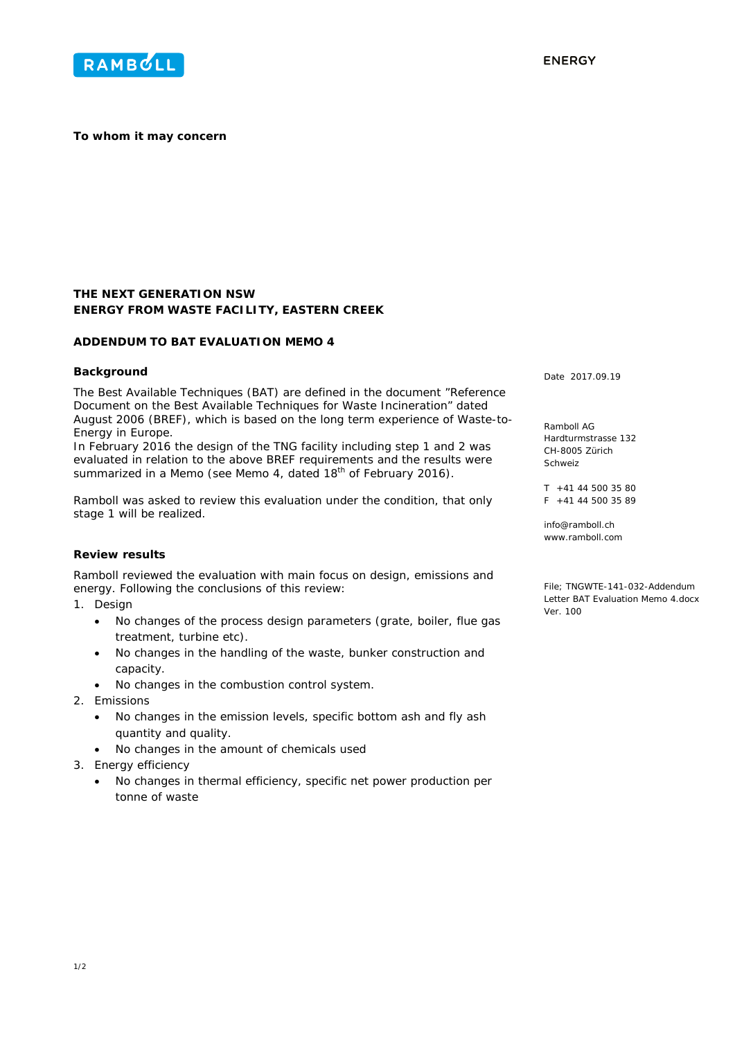

#### **To whom it may concern**

# **THE NEXT GENERATION NSW ENERGY FROM WASTE FACILITY, EASTERN CREEK**

## **ADDENDUM TO BAT EVALUATION MEMO 4**

### **Background**

The Best Available Techniques (BAT) are defined in the document "Reference Document on the Best Available Techniques for Waste Incineration" dated August 2006 (BREF), which is based on the long term experience of Waste-to-Energy in Europe.

In February 2016 the design of the TNG facility including step 1 and 2 was evaluated in relation to the above BREF requirements and the results were summarized in a Memo (see Memo 4, dated 18<sup>th</sup> of February 2016).

Ramboll was asked to review this evaluation under the condition, that only stage 1 will be realized.

#### **Review results**

Ramboll reviewed the evaluation with main focus on design, emissions and energy. Following the conclusions of this review:

- 1. Design
	- No changes of the process design parameters (grate, boiler, flue gas treatment, turbine etc).
	- No changes in the handling of the waste, bunker construction and capacity.
	- No changes in the combustion control system.
- 2. Emissions
	- No changes in the emission levels, specific bottom ash and fly ash quantity and quality.
	- No changes in the amount of chemicals used
- 3. Energy efficiency
	- No changes in thermal efficiency, specific net power production per tonne of waste

Date 2017.09.19

Ramboll AG Hardturmstrasse 132 CH-8005 Zürich Schweiz

T +41 44 500 35 80  $F + 41 44 500 35 89$ 

info@ramboll.ch www.ramboll.com

File; TNGWTE-141-032-Addendum Letter BAT Evaluation Memo 4.docx Ver. 100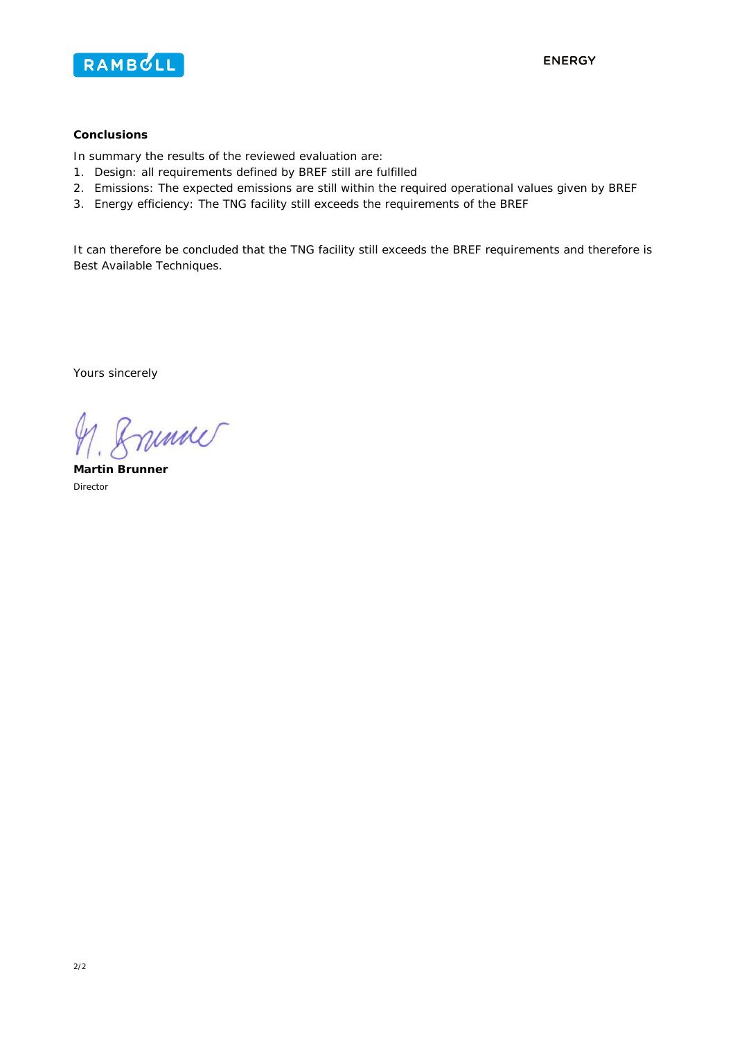

## **Conclusions**

In summary the results of the reviewed evaluation are:

- 1. Design: all requirements defined by BREF still are fulfilled
- 2. Emissions: The expected emissions are still within the required operational values given by BREF
- 3. Energy efficiency: The TNG facility still exceeds the requirements of the BREF

It can therefore be concluded that the TNG facility still exceeds the BREF requirements and therefore is Best Available Techniques.

Yours sincerely

nunner

**Martin Brunner**  Director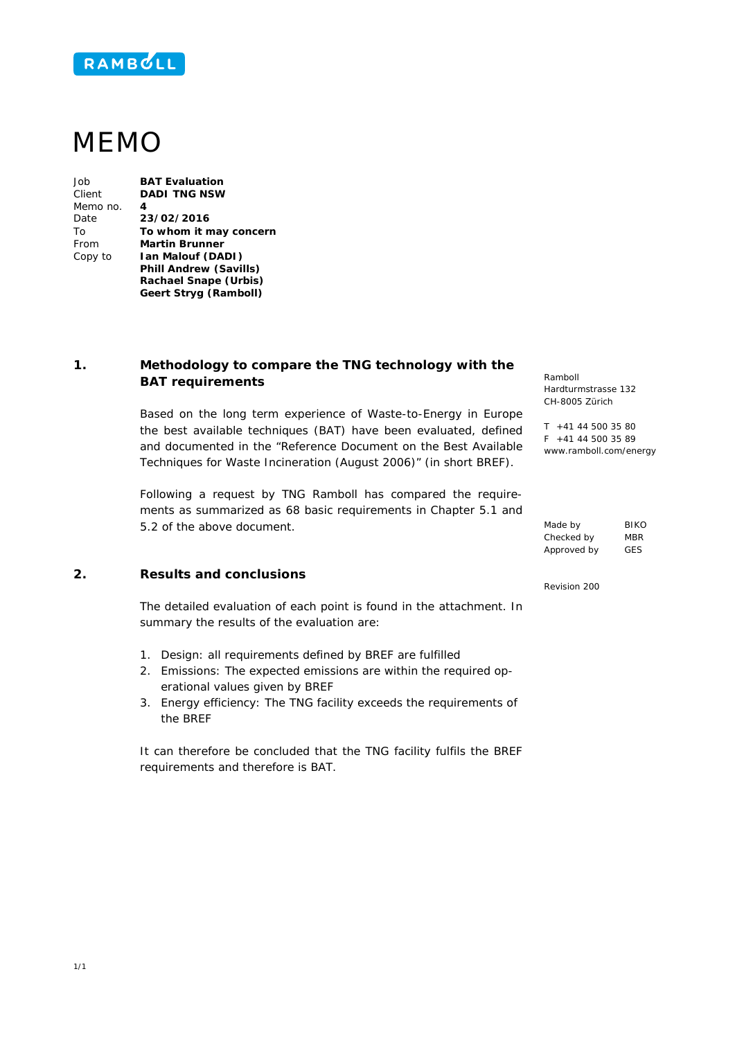

# MEMO

Job **BAT Evaluation** Client **DADI TNG NSW** Memo no. **4** Date **23/02/2016** To **To whom it may concern** From **Martin Brunner** Copy to **Ian Malouf (DADI) Phill Andrew (Savills) Rachael Snape (Urbis) Geert Stryg (Ramboll)**

## **1. Methodology to compare the TNG technology with the BAT requirements**

Based on the long term experience of Waste-to-Energy in Europe the best available techniques (BAT) have been evaluated, defined and documented in the "Reference Document on the Best Available Techniques for Waste Incineration (August 2006)" (in short BREF).

Following a request by TNG Ramboll has compared the requirements as summarized as 68 basic requirements in Chapter 5.1 and 5.2 of the above document.

# **2. Results and conclusions**

The detailed evaluation of each point is found in the attachment. In summary the results of the evaluation are:

- 1. Design: all requirements defined by BREF are fulfilled
- 2. Emissions: The expected emissions are within the required operational values given by BREF
- 3. Energy efficiency: The TNG facility exceeds the requirements of the BREF

It can therefore be concluded that the TNG facility fulfils the BREF requirements and therefore is BAT.

Ramboll Hardturmstrasse 132 CH-8005 Zürich

T +41 44 500 35 80 F +41 44 500 35 89 www.ramboll.com/energy

Made by **BIKO** Checked by MBR Approved by GES

Revision 200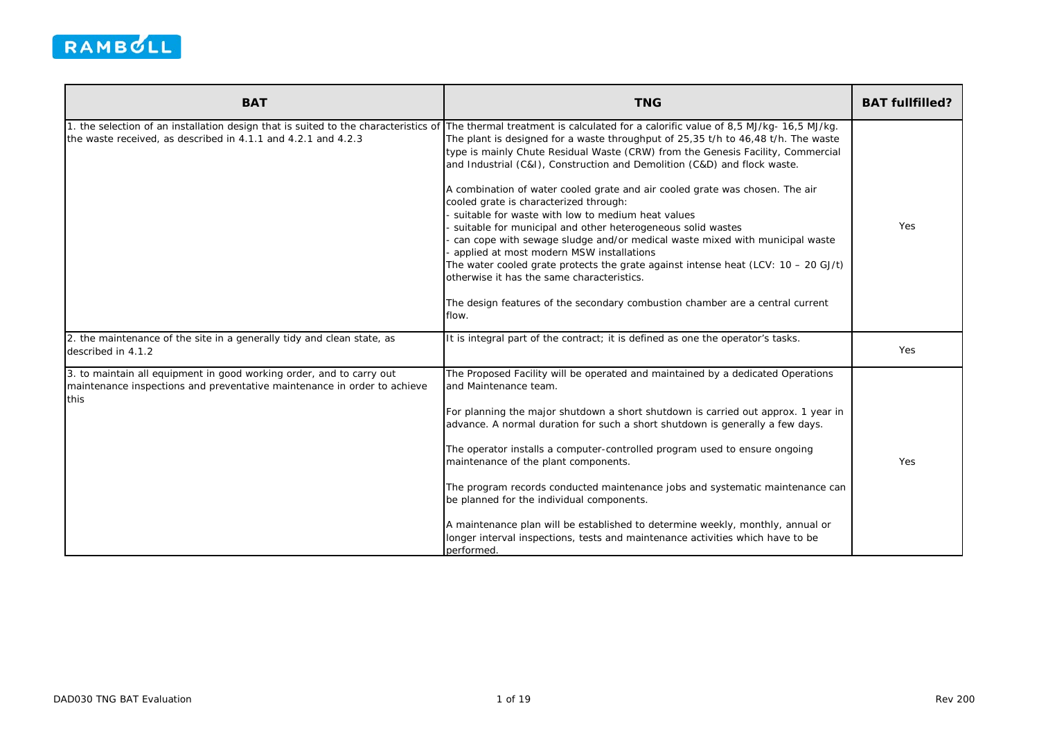

| <b>BAT</b>                                                                                                                                               | <b>TNG</b>                                                                                                                                                                                                                                                                                                                                                                                                                                                                                                                                                                                                                                                                                                                                                                                                                                                                                                                                       | <b>BAT fullfilled?</b> |
|----------------------------------------------------------------------------------------------------------------------------------------------------------|--------------------------------------------------------------------------------------------------------------------------------------------------------------------------------------------------------------------------------------------------------------------------------------------------------------------------------------------------------------------------------------------------------------------------------------------------------------------------------------------------------------------------------------------------------------------------------------------------------------------------------------------------------------------------------------------------------------------------------------------------------------------------------------------------------------------------------------------------------------------------------------------------------------------------------------------------|------------------------|
| 1. the selection of an installation design that is suited to the characteristics of<br>the waste received, as described in 4.1.1 and 4.2.1 and 4.2.3     | The thermal treatment is calculated for a calorific value of 8,5 MJ/kg- 16,5 MJ/kg.<br>The plant is designed for a waste throughput of 25,35 t/h to 46,48 t/h. The waste<br>type is mainly Chute Residual Waste (CRW) from the Genesis Facility, Commercial<br>and Industrial (C&I), Construction and Demolition (C&D) and flock waste.<br>A combination of water cooled grate and air cooled grate was chosen. The air<br>cooled grate is characterized through:<br>suitable for waste with low to medium heat values<br>suitable for municipal and other heterogeneous solid wastes<br>can cope with sewage sludge and/or medical waste mixed with municipal waste<br>applied at most modern MSW installations<br>The water cooled grate protects the grate against intense heat (LCV: $10 - 20$ GJ/t)<br>otherwise it has the same characteristics.<br>The design features of the secondary combustion chamber are a central current<br>flow. | Yes                    |
| 2. the maintenance of the site in a generally tidy and clean state, as<br>described in 4.1.2                                                             | It is integral part of the contract; it is defined as one the operator's tasks.                                                                                                                                                                                                                                                                                                                                                                                                                                                                                                                                                                                                                                                                                                                                                                                                                                                                  | Yes                    |
| 3. to maintain all equipment in good working order, and to carry out<br>maintenance inspections and preventative maintenance in order to achieve<br>this | The Proposed Facility will be operated and maintained by a dedicated Operations<br>and Maintenance team.<br>For planning the major shutdown a short shutdown is carried out approx. 1 year in<br>advance. A normal duration for such a short shutdown is generally a few days.<br>The operator installs a computer-controlled program used to ensure ongoing<br>maintenance of the plant components.<br>The program records conducted maintenance jobs and systematic maintenance can<br>be planned for the individual components.<br>A maintenance plan will be established to determine weekly, monthly, annual or<br>longer interval inspections, tests and maintenance activities which have to be<br>performed.                                                                                                                                                                                                                             | Yes                    |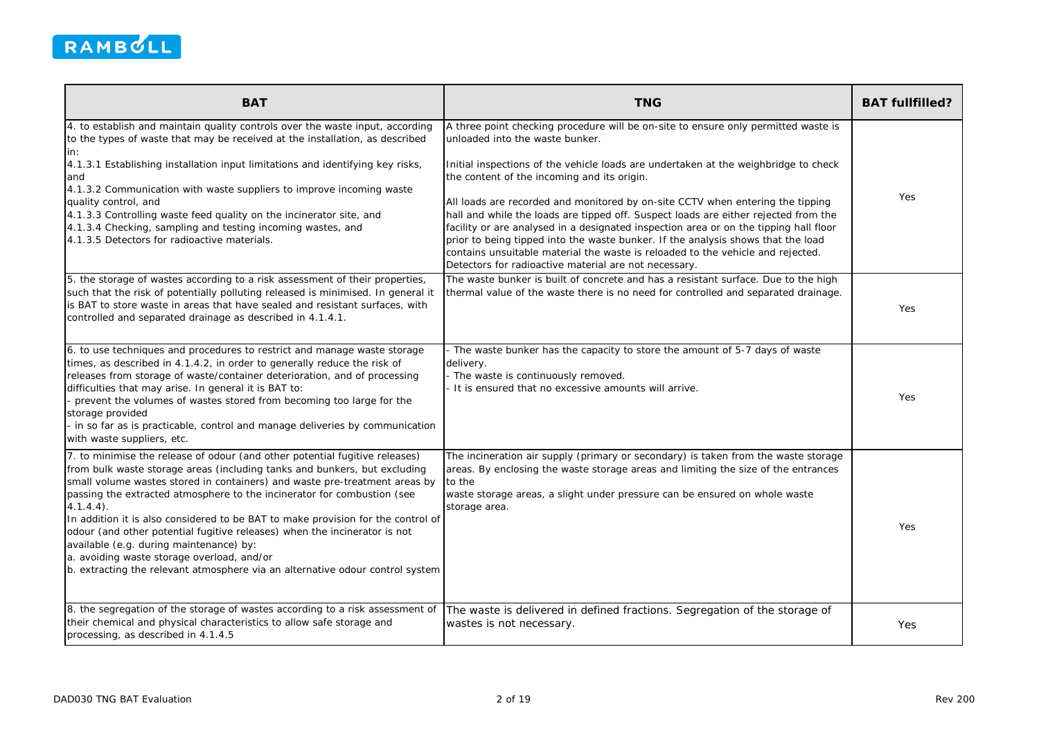

| <b>BAT</b>                                                                                                                                                                                                                                                                                                                                                                                                                                                                                                                                                                                                                                                                  | <b>TNG</b>                                                                                                                                                                                                                                                                                                                                                                                                                                                                                                                                                                                                                                                                                                                                                    | <b>BAT fullfilled?</b> |
|-----------------------------------------------------------------------------------------------------------------------------------------------------------------------------------------------------------------------------------------------------------------------------------------------------------------------------------------------------------------------------------------------------------------------------------------------------------------------------------------------------------------------------------------------------------------------------------------------------------------------------------------------------------------------------|---------------------------------------------------------------------------------------------------------------------------------------------------------------------------------------------------------------------------------------------------------------------------------------------------------------------------------------------------------------------------------------------------------------------------------------------------------------------------------------------------------------------------------------------------------------------------------------------------------------------------------------------------------------------------------------------------------------------------------------------------------------|------------------------|
| 4. to establish and maintain quality controls over the waste input, according<br>to the types of waste that may be received at the installation, as described<br>lin:<br>4.1.3.1 Establishing installation input limitations and identifying key risks,<br>and<br>4.1.3.2 Communication with waste suppliers to improve incoming waste<br>quality control, and<br>4.1.3.3 Controlling waste feed quality on the incinerator site, and<br>4.1.3.4 Checking, sampling and testing incoming wastes, and<br>4.1.3.5 Detectors for radioactive materials.                                                                                                                        | A three point checking procedure will be on-site to ensure only permitted waste is<br>unloaded into the waste bunker.<br>Initial inspections of the vehicle loads are undertaken at the weighbridge to check<br>the content of the incoming and its origin.<br>All loads are recorded and monitored by on-site CCTV when entering the tipping<br>hall and while the loads are tipped off. Suspect loads are either rejected from the<br>facility or are analysed in a designated inspection area or on the tipping hall floor<br>prior to being tipped into the waste bunker. If the analysis shows that the load<br>contains unsuitable material the waste is reloaded to the vehicle and rejected.<br>Detectors for radioactive material are not necessary. | Yes                    |
| 5. the storage of wastes according to a risk assessment of their properties,<br>such that the risk of potentially polluting released is minimised. In general it<br>is BAT to store waste in areas that have sealed and resistant surfaces, with<br>controlled and separated drainage as described in 4.1.4.1.                                                                                                                                                                                                                                                                                                                                                              | The waste bunker is built of concrete and has a resistant surface. Due to the high<br>thermal value of the waste there is no need for controlled and separated drainage.                                                                                                                                                                                                                                                                                                                                                                                                                                                                                                                                                                                      | Yes                    |
| 6. to use techniques and procedures to restrict and manage waste storage<br>times, as described in 4.1.4.2, in order to generally reduce the risk of<br>releases from storage of waste/container deterioration, and of processing<br>difficulties that may arise. In general it is BAT to:<br>prevent the volumes of wastes stored from becoming too large for the<br>storage provided<br>- in so far as is practicable, control and manage deliveries by communication<br>with waste suppliers, etc.                                                                                                                                                                       | The waste bunker has the capacity to store the amount of 5-7 days of waste<br>delivery.<br>The waste is continuously removed.<br>It is ensured that no excessive amounts will arrive.                                                                                                                                                                                                                                                                                                                                                                                                                                                                                                                                                                         | Yes                    |
| 7. to minimise the release of odour (and other potential fugitive releases)<br>from bulk waste storage areas (including tanks and bunkers, but excluding<br>small volume wastes stored in containers) and waste pre-treatment areas by<br>passing the extracted atmosphere to the incinerator for combustion (see<br>$4.1.4.4$ .<br>In addition it is also considered to be BAT to make provision for the control of<br>odour (and other potential fugitive releases) when the incinerator is not<br>available (e.g. during maintenance) by:<br>a. avoiding waste storage overload, and/or<br>b. extracting the relevant atmosphere via an alternative odour control system | The incineration air supply (primary or secondary) is taken from the waste storage<br>areas. By enclosing the waste storage areas and limiting the size of the entrances<br>to the<br>waste storage areas, a slight under pressure can be ensured on whole waste<br>storage area.                                                                                                                                                                                                                                                                                                                                                                                                                                                                             | Yes                    |
| 8. the segregation of the storage of wastes according to a risk assessment of<br>their chemical and physical characteristics to allow safe storage and<br>processing, as described in 4.1.4.5                                                                                                                                                                                                                                                                                                                                                                                                                                                                               | The waste is delivered in defined fractions. Segregation of the storage of<br>wastes is not necessary.                                                                                                                                                                                                                                                                                                                                                                                                                                                                                                                                                                                                                                                        | Yes                    |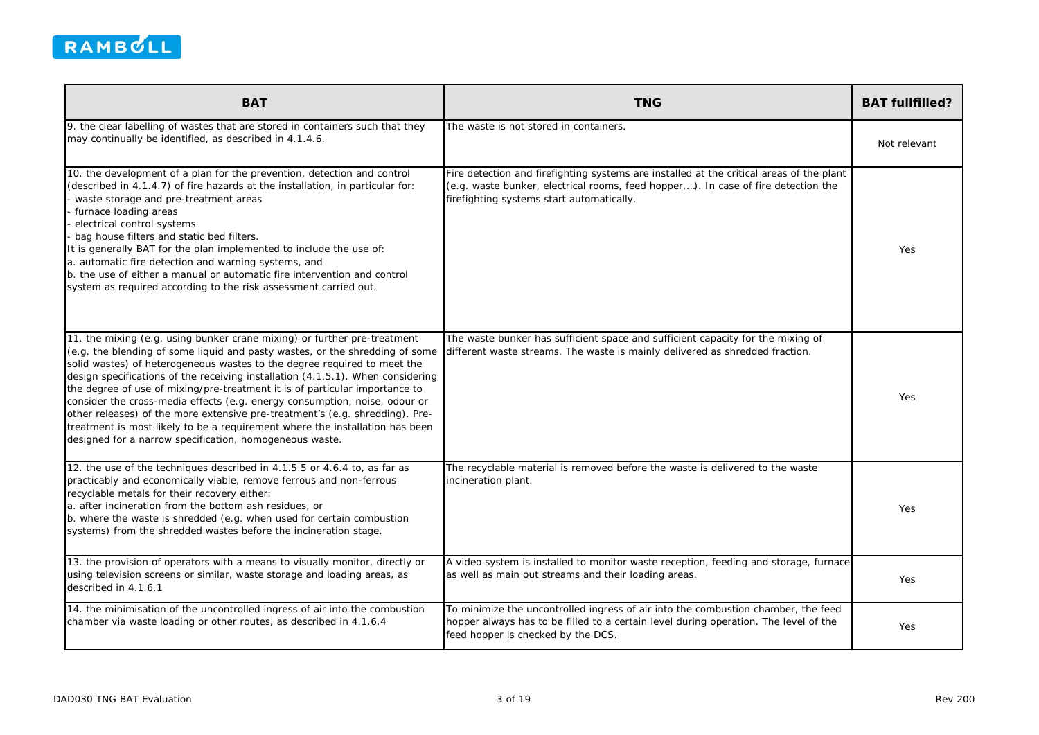

| <b>BAT</b>                                                                                                                                                                                                                                                                                                                                                                                                                                                                                                                                                                                                                                                                                                      | <b>TNG</b>                                                                                                                                                                                                                  | <b>BAT fullfilled?</b> |
|-----------------------------------------------------------------------------------------------------------------------------------------------------------------------------------------------------------------------------------------------------------------------------------------------------------------------------------------------------------------------------------------------------------------------------------------------------------------------------------------------------------------------------------------------------------------------------------------------------------------------------------------------------------------------------------------------------------------|-----------------------------------------------------------------------------------------------------------------------------------------------------------------------------------------------------------------------------|------------------------|
| 9. the clear labelling of wastes that are stored in containers such that they<br>may continually be identified, as described in 4.1.4.6.                                                                                                                                                                                                                                                                                                                                                                                                                                                                                                                                                                        | The waste is not stored in containers.                                                                                                                                                                                      | Not relevant           |
| 10. the development of a plan for the prevention, detection and control<br>(described in 4.1.4.7) of fire hazards at the installation, in particular for:<br>waste storage and pre-treatment areas<br>furnace loading areas<br>electrical control systems<br>bag house filters and static bed filters.<br>It is generally BAT for the plan implemented to include the use of:<br>a. automatic fire detection and warning systems, and<br>b. the use of either a manual or automatic fire intervention and control<br>system as required according to the risk assessment carried out.                                                                                                                           | Fire detection and firefighting systems are installed at the critical areas of the plant<br>(e.g. waste bunker, electrical rooms, feed hopper,). In case of fire detection the<br>firefighting systems start automatically. | Yes                    |
| 11. the mixing (e.g. using bunker crane mixing) or further pre-treatment<br>(e.g. the blending of some liquid and pasty wastes, or the shredding of some<br>solid wastes) of heterogeneous wastes to the degree required to meet the<br>design specifications of the receiving installation (4.1.5.1). When considering<br>the degree of use of mixing/pre-treatment it is of particular importance to<br>consider the cross-media effects (e.g. energy consumption, noise, odour or<br>other releases) of the more extensive pre-treatment's (e.g. shredding). Pre-<br>treatment is most likely to be a requirement where the installation has been<br>designed for a narrow specification, homogeneous waste. | The waste bunker has sufficient space and sufficient capacity for the mixing of<br>different waste streams. The waste is mainly delivered as shredded fraction.                                                             | <b>Yes</b>             |
| 12. the use of the techniques described in 4.1.5.5 or 4.6.4 to, as far as<br>practicably and economically viable, remove ferrous and non-ferrous<br>recyclable metals for their recovery either:<br>a. after incineration from the bottom ash residues, or<br>b. where the waste is shredded (e.g. when used for certain combustion<br>systems) from the shredded wastes before the incineration stage.                                                                                                                                                                                                                                                                                                         | The recyclable material is removed before the waste is delivered to the waste<br>incineration plant.                                                                                                                        | Yes                    |
| 13. the provision of operators with a means to visually monitor, directly or<br>using television screens or similar, waste storage and loading areas, as<br>described in 4.1.6.1                                                                                                                                                                                                                                                                                                                                                                                                                                                                                                                                | A video system is installed to monitor waste reception, feeding and storage, furnace<br>as well as main out streams and their loading areas.                                                                                | Yes                    |
| 14. the minimisation of the uncontrolled ingress of air into the combustion<br>chamber via waste loading or other routes, as described in 4.1.6.4                                                                                                                                                                                                                                                                                                                                                                                                                                                                                                                                                               | To minimize the uncontrolled ingress of air into the combustion chamber, the feed<br>hopper always has to be filled to a certain level during operation. The level of the<br>feed hopper is checked by the DCS.             | <b>Yes</b>             |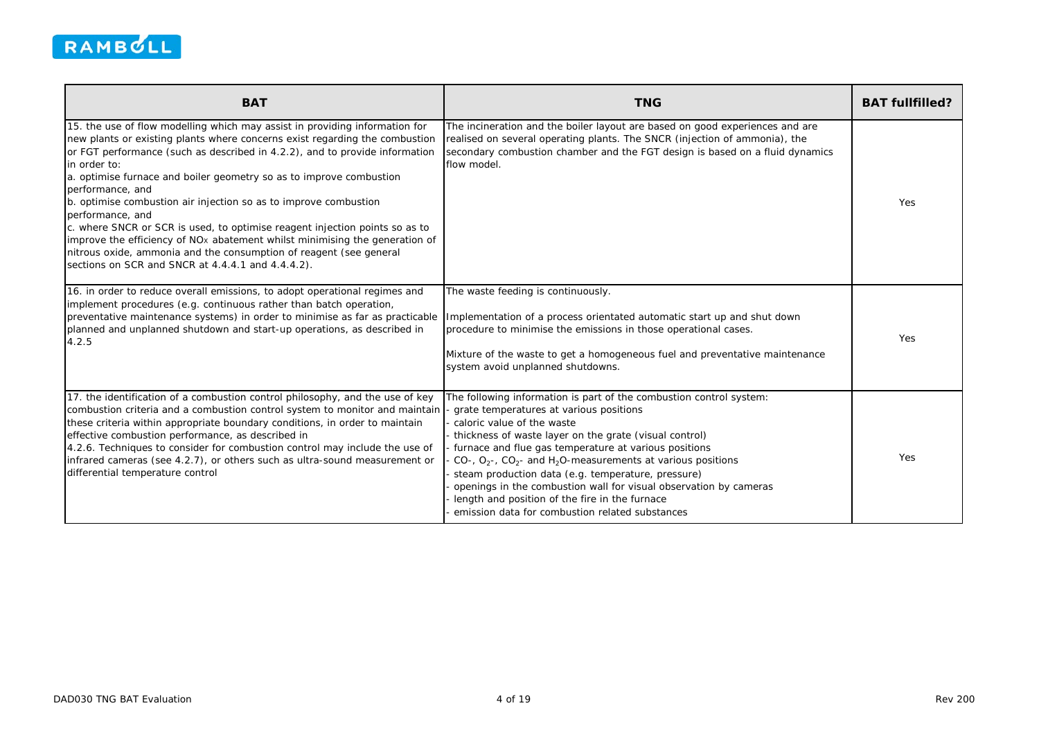

| <b>BAT</b>                                                                                                                                                                                                                                                                                                                                                                                                                                                                                                                                                                                                                                                                                                                                        | <b>TNG</b>                                                                                                                                                                                                                                                                                                                                                                                                                                                                                                                                                                                | <b>BAT fullfilled?</b> |
|---------------------------------------------------------------------------------------------------------------------------------------------------------------------------------------------------------------------------------------------------------------------------------------------------------------------------------------------------------------------------------------------------------------------------------------------------------------------------------------------------------------------------------------------------------------------------------------------------------------------------------------------------------------------------------------------------------------------------------------------------|-------------------------------------------------------------------------------------------------------------------------------------------------------------------------------------------------------------------------------------------------------------------------------------------------------------------------------------------------------------------------------------------------------------------------------------------------------------------------------------------------------------------------------------------------------------------------------------------|------------------------|
| 15. the use of flow modelling which may assist in providing information for<br>new plants or existing plants where concerns exist regarding the combustion<br>or FGT performance (such as described in 4.2.2), and to provide information<br>in order to:<br>a. optimise furnace and boiler geometry so as to improve combustion<br>performance, and<br>b. optimise combustion air injection so as to improve combustion<br>performance, and<br>c. where SNCR or SCR is used, to optimise reagent injection points so as to<br>improve the efficiency of NO <sub>x</sub> abatement whilst minimising the generation of<br>nitrous oxide, ammonia and the consumption of reagent (see general<br>sections on SCR and SNCR at 4.4.4.1 and 4.4.4.2). | The incineration and the boiler layout are based on good experiences and are<br>realised on several operating plants. The SNCR (injection of ammonia), the<br>secondary combustion chamber and the FGT design is based on a fluid dynamics<br>flow model.                                                                                                                                                                                                                                                                                                                                 | Yes                    |
| 16. in order to reduce overall emissions, to adopt operational regimes and<br>implement procedures (e.g. continuous rather than batch operation,<br>preventative maintenance systems) in order to minimise as far as practicable<br>planned and unplanned shutdown and start-up operations, as described in<br>4.2.5                                                                                                                                                                                                                                                                                                                                                                                                                              | The waste feeding is continuously.<br>Implementation of a process orientated automatic start up and shut down<br>procedure to minimise the emissions in those operational cases.<br>Mixture of the waste to get a homogeneous fuel and preventative maintenance<br>system avoid unplanned shutdowns.                                                                                                                                                                                                                                                                                      | Yes                    |
| 17. the identification of a combustion control philosophy, and the use of key<br>combustion criteria and a combustion control system to monitor and maintain<br>these criteria within appropriate boundary conditions, in order to maintain<br>effective combustion performance, as described in<br>4.2.6. Techniques to consider for combustion control may include the use of<br>infrared cameras (see 4.2.7), or others such as ultra-sound measurement or<br>differential temperature control                                                                                                                                                                                                                                                 | The following information is part of the combustion control system:<br>grate temperatures at various positions<br>caloric value of the waste<br>thickness of waste layer on the grate (visual control)<br>furnace and flue gas temperature at various positions<br>CO-, $O_2$ -, CO <sub>2</sub> - and H <sub>2</sub> O-measurements at various positions<br>steam production data (e.g. temperature, pressure)<br>openings in the combustion wall for visual observation by cameras<br>length and position of the fire in the furnace<br>emission data for combustion related substances | Yes                    |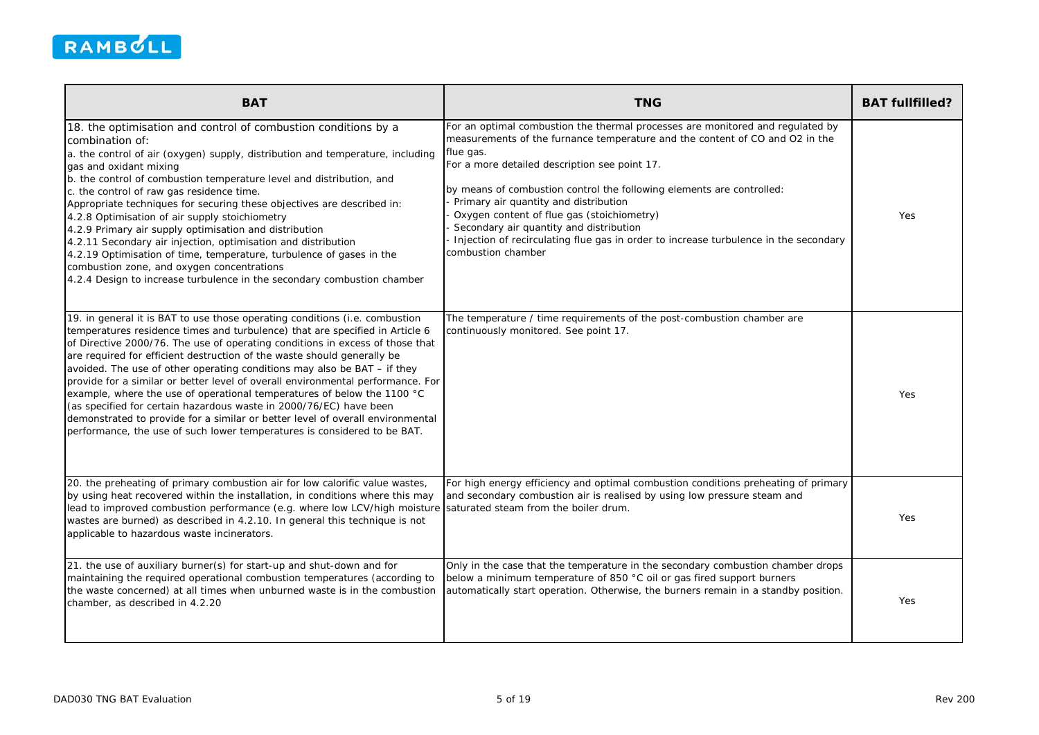

| <b>BAT</b>                                                                                                                                                                                                                                                                                                                                                                                                                                                                                                                                                                                                                                                                                                                                                                                            | <b>TNG</b>                                                                                                                                                                                                                                                                                                                                                                                                                                                                                                                                            | <b>BAT fullfilled?</b> |
|-------------------------------------------------------------------------------------------------------------------------------------------------------------------------------------------------------------------------------------------------------------------------------------------------------------------------------------------------------------------------------------------------------------------------------------------------------------------------------------------------------------------------------------------------------------------------------------------------------------------------------------------------------------------------------------------------------------------------------------------------------------------------------------------------------|-------------------------------------------------------------------------------------------------------------------------------------------------------------------------------------------------------------------------------------------------------------------------------------------------------------------------------------------------------------------------------------------------------------------------------------------------------------------------------------------------------------------------------------------------------|------------------------|
| 18. the optimisation and control of combustion conditions by a<br>combination of:<br>a. the control of air (oxygen) supply, distribution and temperature, including<br>gas and oxidant mixing<br>b. the control of combustion temperature level and distribution, and<br>c. the control of raw gas residence time.<br>Appropriate techniques for securing these objectives are described in:<br>4.2.8 Optimisation of air supply stoichiometry<br>4.2.9 Primary air supply optimisation and distribution<br>4.2.11 Secondary air injection, optimisation and distribution<br>4.2.19 Optimisation of time, temperature, turbulence of gases in the<br>combustion zone, and oxygen concentrations<br>4.2.4 Design to increase turbulence in the secondary combustion chamber                            | For an optimal combustion the thermal processes are monitored and regulated by<br>measurements of the furnance temperature and the content of CO and O2 in the<br>flue gas.<br>For a more detailed description see point 17.<br>by means of combustion control the following elements are controlled:<br>Primary air quantity and distribution<br>Oxygen content of flue gas (stoichiometry)<br>Secondary air quantity and distribution<br>Injection of recirculating flue gas in order to increase turbulence in the secondary<br>combustion chamber | Yes                    |
| 19. in general it is BAT to use those operating conditions (i.e. combustion<br>temperatures residence times and turbulence) that are specified in Article 6<br>of Directive 2000/76. The use of operating conditions in excess of those that<br>are required for efficient destruction of the waste should generally be<br>avoided. The use of other operating conditions may also be BAT - if they<br>provide for a similar or better level of overall environmental performance. For<br>example, where the use of operational temperatures of below the 1100 °C<br>(as specified for certain hazardous waste in 2000/76/EC) have been<br>demonstrated to provide for a similar or better level of overall environmental<br>performance, the use of such lower temperatures is considered to be BAT. | The temperature / time requirements of the post-combustion chamber are<br>continuously monitored. See point 17.                                                                                                                                                                                                                                                                                                                                                                                                                                       | <b>Yes</b>             |
| 20. the preheating of primary combustion air for low calorific value wastes,<br>by using heat recovered within the installation, in conditions where this may<br>lead to improved combustion performance (e.g. where low LCV/high moisture Saturated steam from the boiler drum.<br>wastes are burned) as described in 4.2.10. In general this technique is not<br>applicable to hazardous waste incinerators.                                                                                                                                                                                                                                                                                                                                                                                        | For high energy efficiency and optimal combustion conditions preheating of primary<br>and secondary combustion air is realised by using low pressure steam and                                                                                                                                                                                                                                                                                                                                                                                        | Yes                    |
| 21. the use of auxiliary burner(s) for start-up and shut-down and for<br>maintaining the required operational combustion temperatures (according to<br>the waste concerned) at all times when unburned waste is in the combustion<br>chamber, as described in 4.2.20                                                                                                                                                                                                                                                                                                                                                                                                                                                                                                                                  | Only in the case that the temperature in the secondary combustion chamber drops<br>below a minimum temperature of 850 °C oil or gas fired support burners<br>automatically start operation. Otherwise, the burners remain in a standby position.                                                                                                                                                                                                                                                                                                      | Yes                    |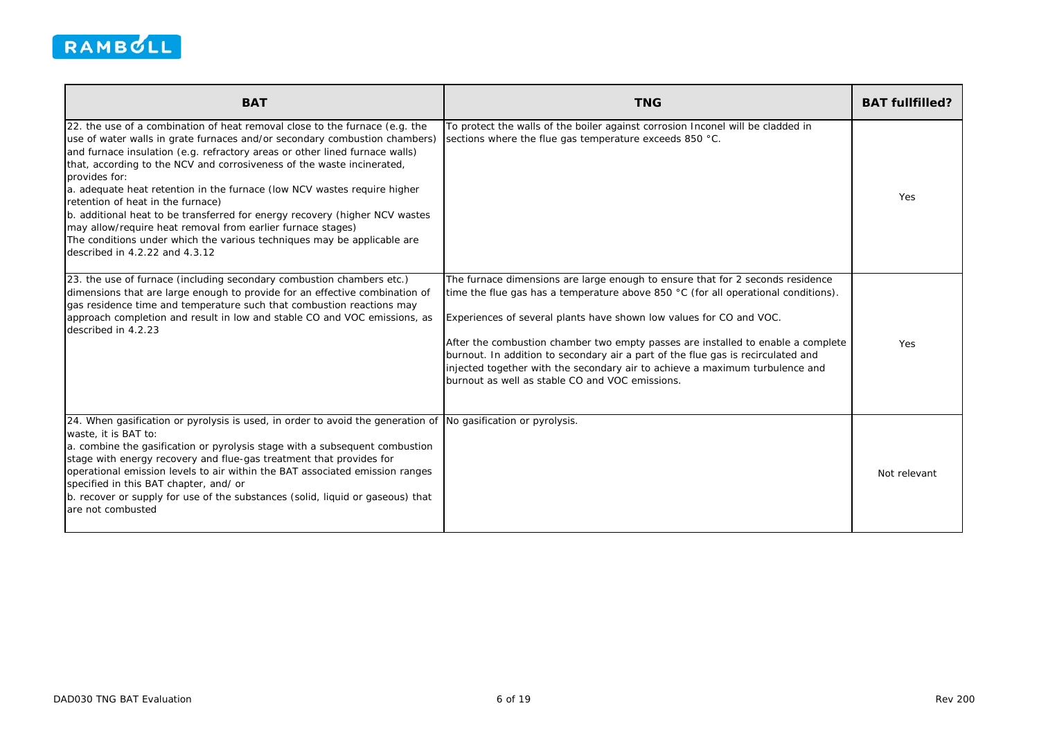

| <b>BAT</b>                                                                                                                                                                                                                                                                                                                                                                                                                                                                                                                                                                                                                                                                                                      | <b>TNG</b>                                                                                                                                                                                                                                                                                                                                                                                                                                                                                                                                             | <b>BAT fullfilled?</b> |
|-----------------------------------------------------------------------------------------------------------------------------------------------------------------------------------------------------------------------------------------------------------------------------------------------------------------------------------------------------------------------------------------------------------------------------------------------------------------------------------------------------------------------------------------------------------------------------------------------------------------------------------------------------------------------------------------------------------------|--------------------------------------------------------------------------------------------------------------------------------------------------------------------------------------------------------------------------------------------------------------------------------------------------------------------------------------------------------------------------------------------------------------------------------------------------------------------------------------------------------------------------------------------------------|------------------------|
| 22. the use of a combination of heat removal close to the furnace (e.g. the<br>use of water walls in grate furnaces and/or secondary combustion chambers)<br>and furnace insulation (e.g. refractory areas or other lined furnace walls)<br>that, according to the NCV and corrosiveness of the waste incinerated,<br>provides for:<br>a. adequate heat retention in the furnace (low NCV wastes require higher<br>retention of heat in the furnace)<br>b. additional heat to be transferred for energy recovery (higher NCV wastes<br>may allow/require heat removal from earlier furnace stages)<br>The conditions under which the various techniques may be applicable are<br>described in 4.2.22 and 4.3.12 | To protect the walls of the boiler against corrosion Inconel will be cladded in<br>sections where the flue gas temperature exceeds 850 °C.                                                                                                                                                                                                                                                                                                                                                                                                             | Yes                    |
| 23. the use of furnace (including secondary combustion chambers etc.)<br>dimensions that are large enough to provide for an effective combination of<br>gas residence time and temperature such that combustion reactions may<br>approach completion and result in low and stable CO and VOC emissions, as<br>described in 4.2.23                                                                                                                                                                                                                                                                                                                                                                               | The furnace dimensions are large enough to ensure that for 2 seconds residence<br>time the flue gas has a temperature above 850 °C (for all operational conditions).<br>Experiences of several plants have shown low values for CO and VOC.<br>After the combustion chamber two empty passes are installed to enable a complete<br>burnout. In addition to secondary air a part of the flue gas is recirculated and<br>injected together with the secondary air to achieve a maximum turbulence and<br>burnout as well as stable CO and VOC emissions. | Yes                    |
| 24. When gasification or pyrolysis is used, in order to avoid the generation of<br>waste, it is BAT to:<br>a. combine the gasification or pyrolysis stage with a subsequent combustion<br>stage with energy recovery and flue-gas treatment that provides for<br>operational emission levels to air within the BAT associated emission ranges<br>specified in this BAT chapter, and/ or<br>b. recover or supply for use of the substances (solid, liquid or gaseous) that<br>are not combusted                                                                                                                                                                                                                  | No gasification or pyrolysis.                                                                                                                                                                                                                                                                                                                                                                                                                                                                                                                          | Not relevant           |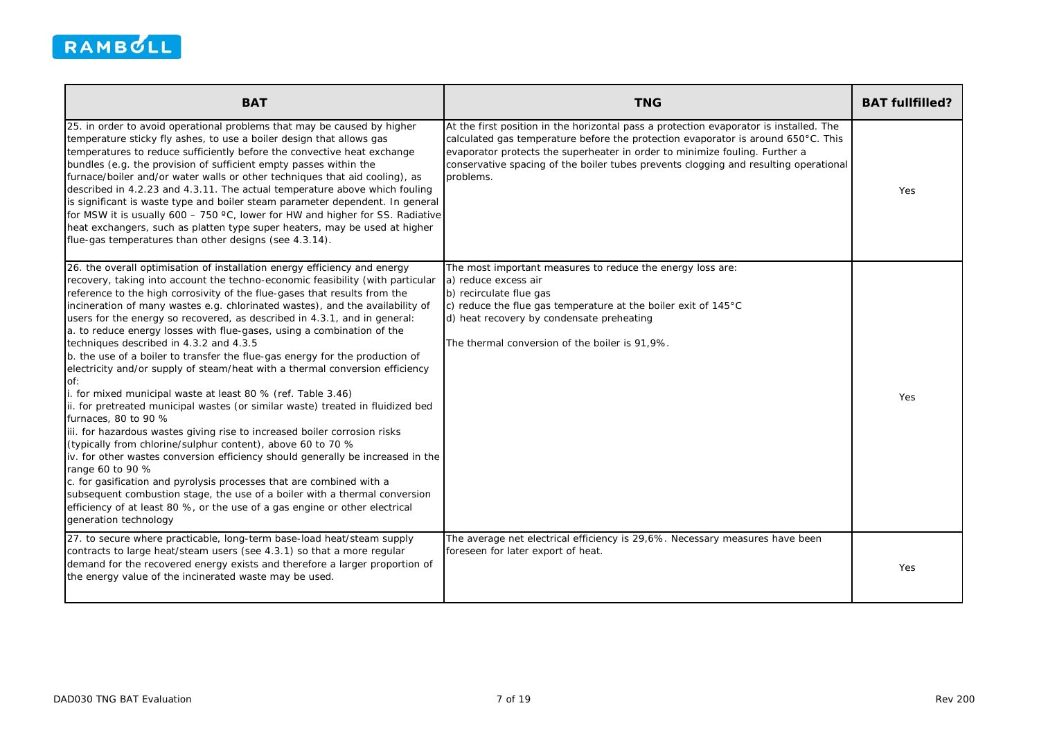

| <b>BAT</b>                                                                                                                                                                                                                                                                                                                                                                                                                                                                                                                                                                                                                                                                                                                                                                                                                                                                                                                                                                                                                                                                                                                                                                                                                                                                                                                                                                                     | <b>TNG</b>                                                                                                                                                                                                                                                                                                                                                                | <b>BAT fullfilled?</b> |
|------------------------------------------------------------------------------------------------------------------------------------------------------------------------------------------------------------------------------------------------------------------------------------------------------------------------------------------------------------------------------------------------------------------------------------------------------------------------------------------------------------------------------------------------------------------------------------------------------------------------------------------------------------------------------------------------------------------------------------------------------------------------------------------------------------------------------------------------------------------------------------------------------------------------------------------------------------------------------------------------------------------------------------------------------------------------------------------------------------------------------------------------------------------------------------------------------------------------------------------------------------------------------------------------------------------------------------------------------------------------------------------------|---------------------------------------------------------------------------------------------------------------------------------------------------------------------------------------------------------------------------------------------------------------------------------------------------------------------------------------------------------------------------|------------------------|
| 25. in order to avoid operational problems that may be caused by higher<br>temperature sticky fly ashes, to use a boiler design that allows gas<br>temperatures to reduce sufficiently before the convective heat exchange<br>bundles (e.g. the provision of sufficient empty passes within the<br>furnace/boiler and/or water walls or other techniques that aid cooling), as<br>described in 4.2.23 and 4.3.11. The actual temperature above which fouling<br>is significant is waste type and boiler steam parameter dependent. In general<br>for MSW it is usually 600 - 750 °C, lower for HW and higher for SS. Radiative<br>heat exchangers, such as platten type super heaters, may be used at higher<br>flue-gas temperatures than other designs (see 4.3.14).                                                                                                                                                                                                                                                                                                                                                                                                                                                                                                                                                                                                                         | At the first position in the horizontal pass a protection evaporator is installed. The<br>calculated gas temperature before the protection evaporator is around $650^{\circ}$ C. This<br>evaporator protects the superheater in order to minimize fouling. Further a<br>conservative spacing of the boiler tubes prevents clogging and resulting operational<br>problems. | Yes                    |
| 26. the overall optimisation of installation energy efficiency and energy<br>recovery, taking into account the techno-economic feasibility (with particular<br>reference to the high corrosivity of the flue-gases that results from the<br>incineration of many wastes e.g. chlorinated wastes), and the availability of<br>users for the energy so recovered, as described in 4.3.1, and in general:<br>a. to reduce energy losses with flue-gases, using a combination of the<br>techniques described in 4.3.2 and 4.3.5<br>b. the use of a boiler to transfer the flue-gas energy for the production of<br>electricity and/or supply of steam/heat with a thermal conversion efficiency<br>Of:<br>i. for mixed municipal waste at least 80 % (ref. Table 3.46)<br>ii. for pretreated municipal wastes (or similar waste) treated in fluidized bed<br>furnaces, 80 to 90 %<br>iii. for hazardous wastes giving rise to increased boiler corrosion risks<br>(typically from chlorine/sulphur content), above 60 to 70 %<br>iv. for other wastes conversion efficiency should generally be increased in the<br>range 60 to 90 %<br>c. for gasification and pyrolysis processes that are combined with a<br>subsequent combustion stage, the use of a boiler with a thermal conversion<br>efficiency of at least 80 %, or the use of a gas engine or other electrical<br>generation technology | The most important measures to reduce the energy loss are:<br>a) reduce excess air<br>b) recirculate flue gas<br>c) reduce the flue gas temperature at the boiler exit of 145°C<br>d) heat recovery by condensate preheating<br>The thermal conversion of the boiler is 91,9%.                                                                                            | Yes                    |
| 27. to secure where practicable, long-term base-load heat/steam supply<br>contracts to large heat/steam users (see 4.3.1) so that a more regular<br>demand for the recovered energy exists and therefore a larger proportion of<br>the energy value of the incinerated waste may be used.                                                                                                                                                                                                                                                                                                                                                                                                                                                                                                                                                                                                                                                                                                                                                                                                                                                                                                                                                                                                                                                                                                      | The average net electrical efficiency is 29,6%. Necessary measures have been<br>foreseen for later export of heat.                                                                                                                                                                                                                                                        | Yes.                   |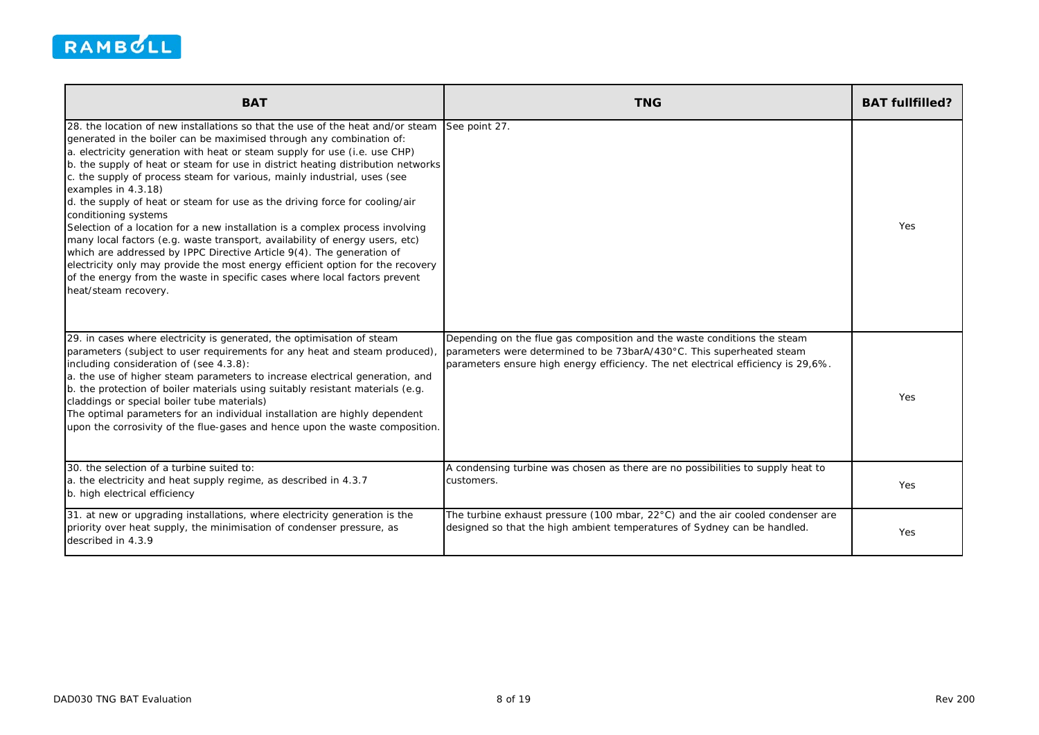

| <b>BAT</b>                                                                                                                                                                                                                                                                                                                                                                                                                                                                                                                                                                                                                                                                                                                                                                                                                                                                                                                                                           | <b>TNG</b>                                                                                                                                                                                                                             | <b>BAT fullfilled?</b> |
|----------------------------------------------------------------------------------------------------------------------------------------------------------------------------------------------------------------------------------------------------------------------------------------------------------------------------------------------------------------------------------------------------------------------------------------------------------------------------------------------------------------------------------------------------------------------------------------------------------------------------------------------------------------------------------------------------------------------------------------------------------------------------------------------------------------------------------------------------------------------------------------------------------------------------------------------------------------------|----------------------------------------------------------------------------------------------------------------------------------------------------------------------------------------------------------------------------------------|------------------------|
| 28. the location of new installations so that the use of the heat and/or steam<br>generated in the boiler can be maximised through any combination of:<br>a. electricity generation with heat or steam supply for use (i.e. use CHP)<br>b. the supply of heat or steam for use in district heating distribution networks<br>c. the supply of process steam for various, mainly industrial, uses (see<br>examples in 4.3.18)<br>d. the supply of heat or steam for use as the driving force for cooling/air<br>conditioning systems<br>Selection of a location for a new installation is a complex process involving<br>many local factors (e.g. waste transport, availability of energy users, etc)<br>which are addressed by IPPC Directive Article 9(4). The generation of<br>electricity only may provide the most energy efficient option for the recovery<br>of the energy from the waste in specific cases where local factors prevent<br>heat/steam recovery. | See point 27.                                                                                                                                                                                                                          | <b>Yes</b>             |
| 29. in cases where electricity is generated, the optimisation of steam<br>parameters (subject to user requirements for any heat and steam produced),<br>including consideration of (see 4.3.8):<br>a. the use of higher steam parameters to increase electrical generation, and<br>b. the protection of boiler materials using suitably resistant materials (e.g.<br>claddings or special boiler tube materials)<br>The optimal parameters for an individual installation are highly dependent<br>upon the corrosivity of the flue-gases and hence upon the waste composition.                                                                                                                                                                                                                                                                                                                                                                                       | Depending on the flue gas composition and the waste conditions the steam<br>parameters were determined to be 73barA/430°C. This superheated steam<br>parameters ensure high energy efficiency. The net electrical efficiency is 29,6%. | Yes                    |
| 30. the selection of a turbine suited to:<br>a. the electricity and heat supply regime, as described in 4.3.7<br>b. high electrical efficiency                                                                                                                                                                                                                                                                                                                                                                                                                                                                                                                                                                                                                                                                                                                                                                                                                       | A condensing turbine was chosen as there are no possibilities to supply heat to<br>customers.                                                                                                                                          | Yes                    |
| 31. at new or upgrading installations, where electricity generation is the<br>priority over heat supply, the minimisation of condenser pressure, as<br>described in 4.3.9                                                                                                                                                                                                                                                                                                                                                                                                                                                                                                                                                                                                                                                                                                                                                                                            | The turbine exhaust pressure (100 mbar, $22^{\circ}$ C) and the air cooled condenser are<br>designed so that the high ambient temperatures of Sydney can be handled.                                                                   | Yes                    |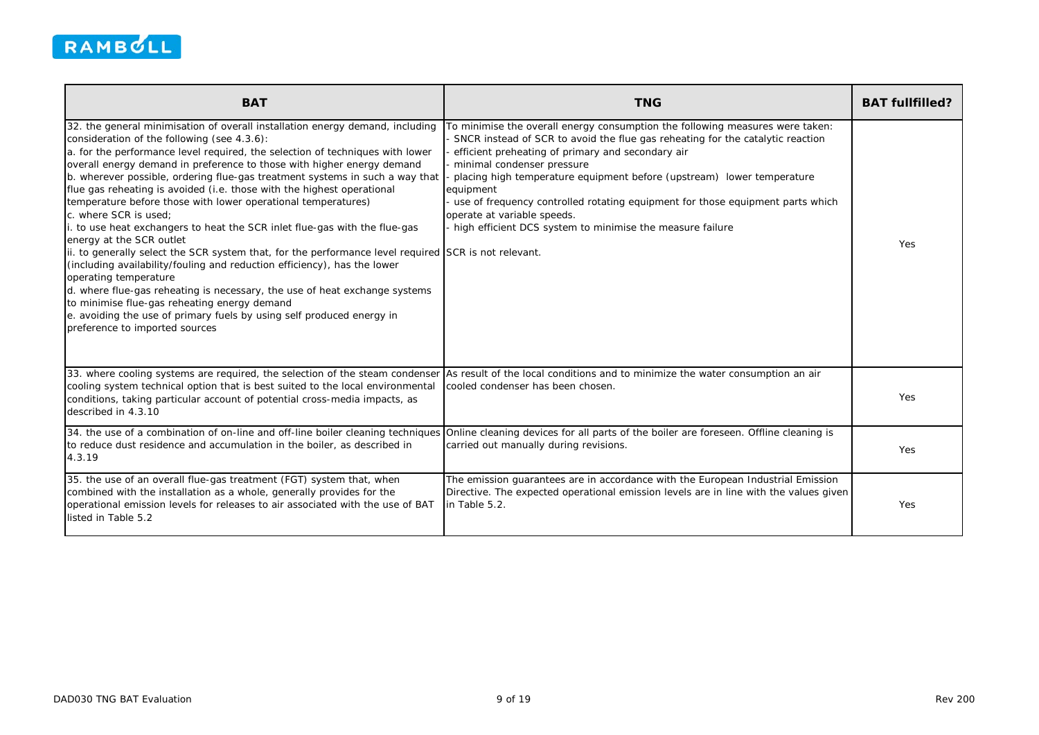

| <b>BAT</b>                                                                                                                                                                                                                                                                                                                                                                                                                                                                                                                                                                                                                                                                                                                                                                                                                                                                                                                                                                                                                                                                                               | <b>TNG</b>                                                                                                                                                                                                                                                                                                                                                                                                                                                                                                              | <b>BAT fullfilled?</b> |
|----------------------------------------------------------------------------------------------------------------------------------------------------------------------------------------------------------------------------------------------------------------------------------------------------------------------------------------------------------------------------------------------------------------------------------------------------------------------------------------------------------------------------------------------------------------------------------------------------------------------------------------------------------------------------------------------------------------------------------------------------------------------------------------------------------------------------------------------------------------------------------------------------------------------------------------------------------------------------------------------------------------------------------------------------------------------------------------------------------|-------------------------------------------------------------------------------------------------------------------------------------------------------------------------------------------------------------------------------------------------------------------------------------------------------------------------------------------------------------------------------------------------------------------------------------------------------------------------------------------------------------------------|------------------------|
| 32. the general minimisation of overall installation energy demand, including<br>consideration of the following (see 4.3.6):<br>a. for the performance level required, the selection of techniques with lower<br>overall energy demand in preference to those with higher energy demand<br>b. wherever possible, ordering flue-gas treatment systems in such a way that<br>flue gas reheating is avoided (i.e. those with the highest operational<br>temperature before those with lower operational temperatures)<br>c. where SCR is used:<br>to use heat exchangers to heat the SCR inlet flue-gas with the flue-gas<br>energy at the SCR outlet<br>ii. to generally select the SCR system that, for the performance level required SCR is not relevant.<br>(including availability/fouling and reduction efficiency), has the lower<br>operating temperature<br>d. where flue-gas reheating is necessary, the use of heat exchange systems<br>to minimise flue-gas reheating energy demand<br>e. avoiding the use of primary fuels by using self produced energy in<br>preference to imported sources | To minimise the overall energy consumption the following measures were taken:<br>SNCR instead of SCR to avoid the flue gas reheating for the catalytic reaction<br>efficient preheating of primary and secondary air<br>minimal condenser pressure<br>placing high temperature equipment before (upstream) lower temperature<br>equipment<br>use of frequency controlled rotating equipment for those equipment parts which<br>operate at variable speeds.<br>high efficient DCS system to minimise the measure failure | Yes                    |
| 33. where cooling systems are required, the selection of the steam condenser<br>cooling system technical option that is best suited to the local environmental<br>conditions, taking particular account of potential cross-media impacts, as<br>described in 4.3.10                                                                                                                                                                                                                                                                                                                                                                                                                                                                                                                                                                                                                                                                                                                                                                                                                                      | As result of the local conditions and to minimize the water consumption an air<br>cooled condenser has been chosen.                                                                                                                                                                                                                                                                                                                                                                                                     | Yes                    |
| 34. the use of a combination of on-line and off-line boiler cleaning techniques<br>to reduce dust residence and accumulation in the boiler, as described in<br>4.3.19                                                                                                                                                                                                                                                                                                                                                                                                                                                                                                                                                                                                                                                                                                                                                                                                                                                                                                                                    | Online cleaning devices for all parts of the boiler are foreseen. Offline cleaning is<br>carried out manually during revisions.                                                                                                                                                                                                                                                                                                                                                                                         | Yes                    |
| 35. the use of an overall flue-gas treatment (FGT) system that, when<br>combined with the installation as a whole, generally provides for the<br>operational emission levels for releases to air associated with the use of BAT<br>listed in Table 5.2                                                                                                                                                                                                                                                                                                                                                                                                                                                                                                                                                                                                                                                                                                                                                                                                                                                   | The emission guarantees are in accordance with the European Industrial Emission<br>Directive. The expected operational emission levels are in line with the values given<br>in Table 5.2.                                                                                                                                                                                                                                                                                                                               | Yes                    |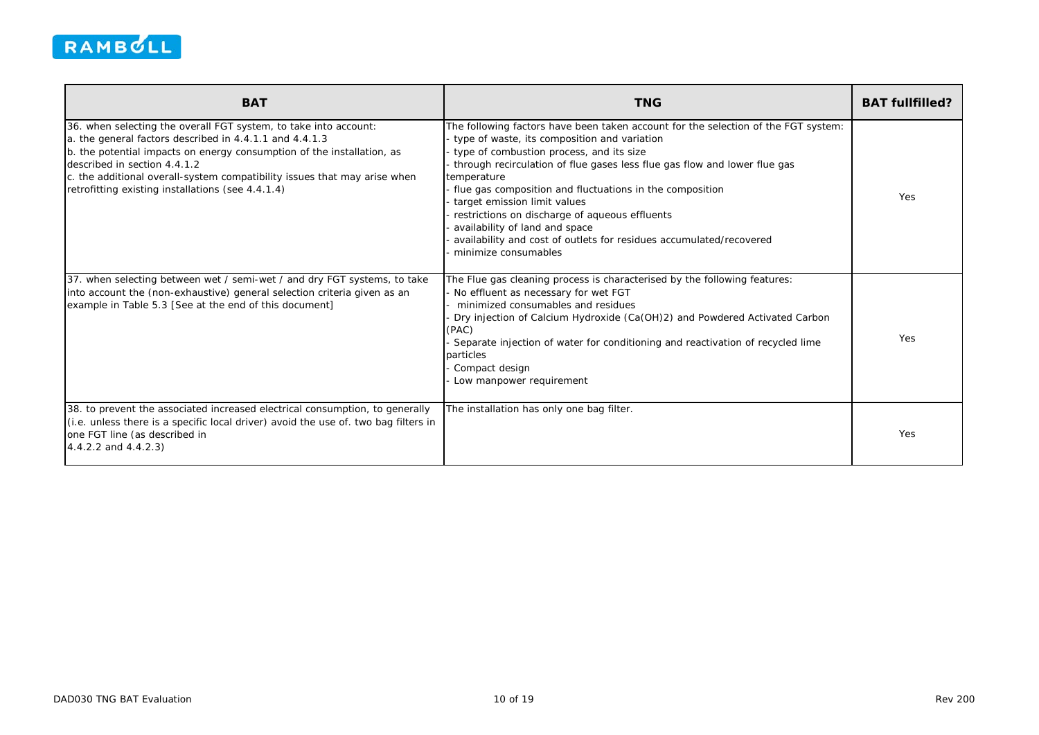

| <b>BAT</b>                                                                                                                                                                                                                                                                                                                                                              | <b>TNG</b>                                                                                                                                                                                                                                                                                                                                                                                                                                                                                                                                                | <b>BAT fullfilled?</b> |
|-------------------------------------------------------------------------------------------------------------------------------------------------------------------------------------------------------------------------------------------------------------------------------------------------------------------------------------------------------------------------|-----------------------------------------------------------------------------------------------------------------------------------------------------------------------------------------------------------------------------------------------------------------------------------------------------------------------------------------------------------------------------------------------------------------------------------------------------------------------------------------------------------------------------------------------------------|------------------------|
| 36. when selecting the overall FGT system, to take into account:<br>a. the general factors described in 4.4.1.1 and 4.4.1.3<br>b. the potential impacts on energy consumption of the installation, as<br>described in section 4.4.1.2<br>c. the additional overall-system compatibility issues that may arise when<br>retrofitting existing installations (see 4.4.1.4) | The following factors have been taken account for the selection of the FGT system:<br>type of waste, its composition and variation<br>type of combustion process, and its size<br>through recirculation of flue gases less flue gas flow and lower flue gas<br>temperature<br>flue gas composition and fluctuations in the composition<br>target emission limit values<br>restrictions on discharge of aqueous effluents<br>availability of land and space<br>availability and cost of outlets for residues accumulated/recovered<br>minimize consumables | Yes                    |
| 37. when selecting between wet / semi-wet / and dry FGT systems, to take<br>into account the (non-exhaustive) general selection criteria given as an<br>example in Table 5.3 [See at the end of this document]                                                                                                                                                          | The Flue gas cleaning process is characterised by the following features:<br>No effluent as necessary for wet FGT<br>minimized consumables and residues<br>Dry injection of Calcium Hydroxide (Ca(OH)2) and Powdered Activated Carbon<br>(PAC)<br>Separate injection of water for conditioning and reactivation of recycled lime<br>particles<br>Compact design<br>Low manpower requirement                                                                                                                                                               | Yes                    |
| 38. to prevent the associated increased electrical consumption, to generally<br>(i.e. unless there is a specific local driver) avoid the use of. two bag filters in<br>one FGT line (as described in<br>4.4.2.2 and 4.4.2.3)                                                                                                                                            | The installation has only one bag filter.                                                                                                                                                                                                                                                                                                                                                                                                                                                                                                                 | Yes                    |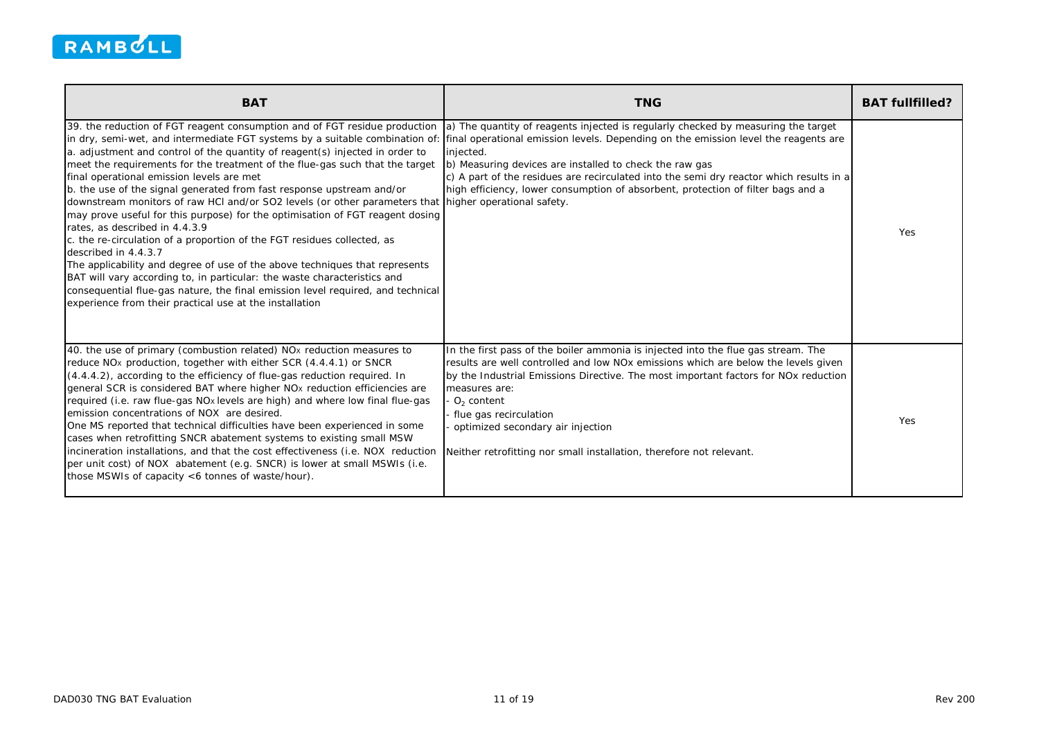

| <b>BAT</b>                                                                                                                                                                                                                                                                                                                                                                                                                                                                                                                                                                                                                                                                                                                                                                                                                                                                                                                                                                                               | <b>TNG</b>                                                                                                                                                                                                                                                                                                                                                                                                                                                                                                   | <b>BAT fullfilled?</b> |
|----------------------------------------------------------------------------------------------------------------------------------------------------------------------------------------------------------------------------------------------------------------------------------------------------------------------------------------------------------------------------------------------------------------------------------------------------------------------------------------------------------------------------------------------------------------------------------------------------------------------------------------------------------------------------------------------------------------------------------------------------------------------------------------------------------------------------------------------------------------------------------------------------------------------------------------------------------------------------------------------------------|--------------------------------------------------------------------------------------------------------------------------------------------------------------------------------------------------------------------------------------------------------------------------------------------------------------------------------------------------------------------------------------------------------------------------------------------------------------------------------------------------------------|------------------------|
| 39. the reduction of FGT reagent consumption and of FGT residue production<br>a. adjustment and control of the quantity of reagent(s) injected in order to<br>meet the requirements for the treatment of the flue-gas such that the target<br>final operational emission levels are met<br>b. the use of the signal generated from fast response upstream and/or<br>downstream monitors of raw HCl and/or SO2 levels (or other parameters that higher operational safety.<br>may prove useful for this purpose) for the optimisation of FGT reagent dosing<br>rates, as described in 4.4.3.9<br>c. the re-circulation of a proportion of the FGT residues collected, as<br>described in 4.4.3.7<br>The applicability and degree of use of the above techniques that represents<br>BAT will vary according to, in particular: the waste characteristics and<br>consequential flue-gas nature, the final emission level required, and technical<br>experience from their practical use at the installation | a) The quantity of reagents injected is regularly checked by measuring the target<br>in dry, semi-wet, and intermediate FGT systems by a suitable combination of: final operational emission levels. Depending on the emission level the reagents are<br>injected.<br>b) Measuring devices are installed to check the raw gas<br>c) A part of the residues are recirculated into the semi dry reactor which results in a<br>high efficiency, lower consumption of absorbent, protection of filter bags and a | Yes                    |
| 40. the use of primary (combustion related) NO <sub>x</sub> reduction measures to<br>reduce NO <sub>x</sub> production, together with either SCR (4.4.4.1) or SNCR<br>(4.4.4.2), according to the efficiency of flue-gas reduction required. In<br>general SCR is considered BAT where higher NO <sub>x</sub> reduction efficiencies are<br>required (i.e. raw flue-gas NO <sub>x</sub> levels are high) and where low final flue-gas<br>emission concentrations of NOX are desired.<br>One MS reported that technical difficulties have been experienced in some<br>cases when retrofitting SNCR abatement systems to existing small MSW<br>incineration installations, and that the cost effectiveness (i.e. NOX reduction<br>per unit cost) of NOX abatement (e.g. SNCR) is lower at small MSWIs (i.e.<br>those MSWIs of capacity <6 tonnes of waste/hour).                                                                                                                                           | In the first pass of the boiler ammonia is injected into the flue gas stream. The<br>results are well controlled and low NOx emissions which are below the levels given<br>by the Industrial Emissions Directive. The most important factors for NOx reduction<br>measures are:<br>$O2$ content<br>flue gas recirculation<br>optimized secondary air injection<br>Neither retrofitting nor small installation, therefore not relevant.                                                                       | Yes                    |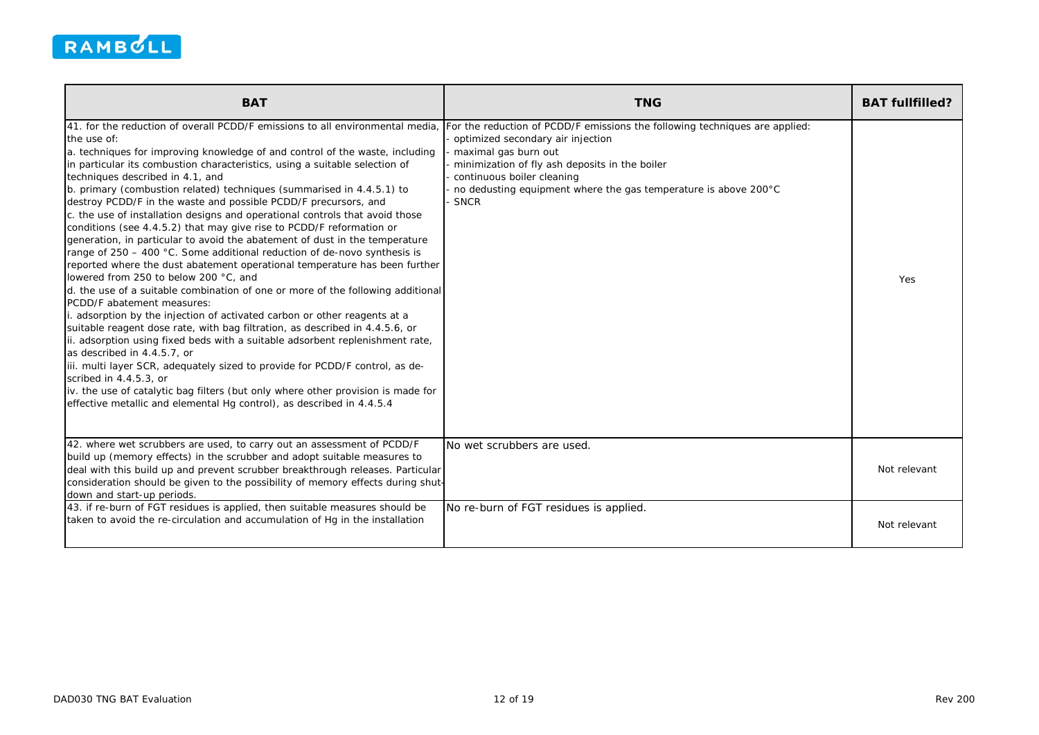

| <b>BAT</b>                                                                                                                                                                                                                                                                                                                                                                                                                                                                                                                                                                                                                                                                                                                                                                                                                                                                                                                                                                                                                                                                                                                                                                                                                                                                                                                                                                                                                                                                                                                                                | <b>TNG</b>                                                                                                                                                                                                                                                                                          | <b>BAT fullfilled?</b> |
|-----------------------------------------------------------------------------------------------------------------------------------------------------------------------------------------------------------------------------------------------------------------------------------------------------------------------------------------------------------------------------------------------------------------------------------------------------------------------------------------------------------------------------------------------------------------------------------------------------------------------------------------------------------------------------------------------------------------------------------------------------------------------------------------------------------------------------------------------------------------------------------------------------------------------------------------------------------------------------------------------------------------------------------------------------------------------------------------------------------------------------------------------------------------------------------------------------------------------------------------------------------------------------------------------------------------------------------------------------------------------------------------------------------------------------------------------------------------------------------------------------------------------------------------------------------|-----------------------------------------------------------------------------------------------------------------------------------------------------------------------------------------------------------------------------------------------------------------------------------------------------|------------------------|
| 41. for the reduction of overall PCDD/F emissions to all environmental media.<br>the use of:<br>a. techniques for improving knowledge of and control of the waste, including<br>in particular its combustion characteristics, using a suitable selection of<br>techniques described in 4.1, and<br>b. primary (combustion related) techniques (summarised in 4.4.5.1) to<br>destroy PCDD/F in the waste and possible PCDD/F precursors, and<br>c. the use of installation designs and operational controls that avoid those<br>conditions (see 4.4.5.2) that may give rise to PCDD/F reformation or<br>generation, in particular to avoid the abatement of dust in the temperature<br>range of 250 - 400 °C. Some additional reduction of de-novo synthesis is<br>reported where the dust abatement operational temperature has been further<br>lowered from 250 to below 200 °C, and<br>d. the use of a suitable combination of one or more of the following additional<br>PCDD/F abatement measures:<br>. adsorption by the injection of activated carbon or other reagents at a<br>suitable reagent dose rate, with bag filtration, as described in 4.4.5.6, or<br>ii. adsorption using fixed beds with a suitable adsorbent replenishment rate,<br>as described in 4.4.5.7, or<br>iii. multi layer SCR, adequately sized to provide for PCDD/F control, as de-<br>scribed in 4.4.5.3, or<br>iv. the use of catalytic bag filters (but only where other provision is made for<br>effective metallic and elemental Hg control), as described in 4.4.5.4 | For the reduction of PCDD/F emissions the following techniques are applied:<br>optimized secondary air injection<br>maximal gas burn out<br>minimization of fly ash deposits in the boiler<br>continuous boiler cleaning<br>no dedusting equipment where the gas temperature is above 200°C<br>SNCR | Yes                    |
| 42. where wet scrubbers are used, to carry out an assessment of PCDD/F<br>build up (memory effects) in the scrubber and adopt suitable measures to<br>deal with this build up and prevent scrubber breakthrough releases. Particular<br>consideration should be given to the possibility of memory effects during shut-<br>down and start-up periods.                                                                                                                                                                                                                                                                                                                                                                                                                                                                                                                                                                                                                                                                                                                                                                                                                                                                                                                                                                                                                                                                                                                                                                                                     | No wet scrubbers are used.                                                                                                                                                                                                                                                                          | Not relevant           |
| 43. if re-burn of FGT residues is applied, then suitable measures should be<br>taken to avoid the re-circulation and accumulation of Hg in the installation                                                                                                                                                                                                                                                                                                                                                                                                                                                                                                                                                                                                                                                                                                                                                                                                                                                                                                                                                                                                                                                                                                                                                                                                                                                                                                                                                                                               | No re-burn of FGT residues is applied.                                                                                                                                                                                                                                                              | Not relevant           |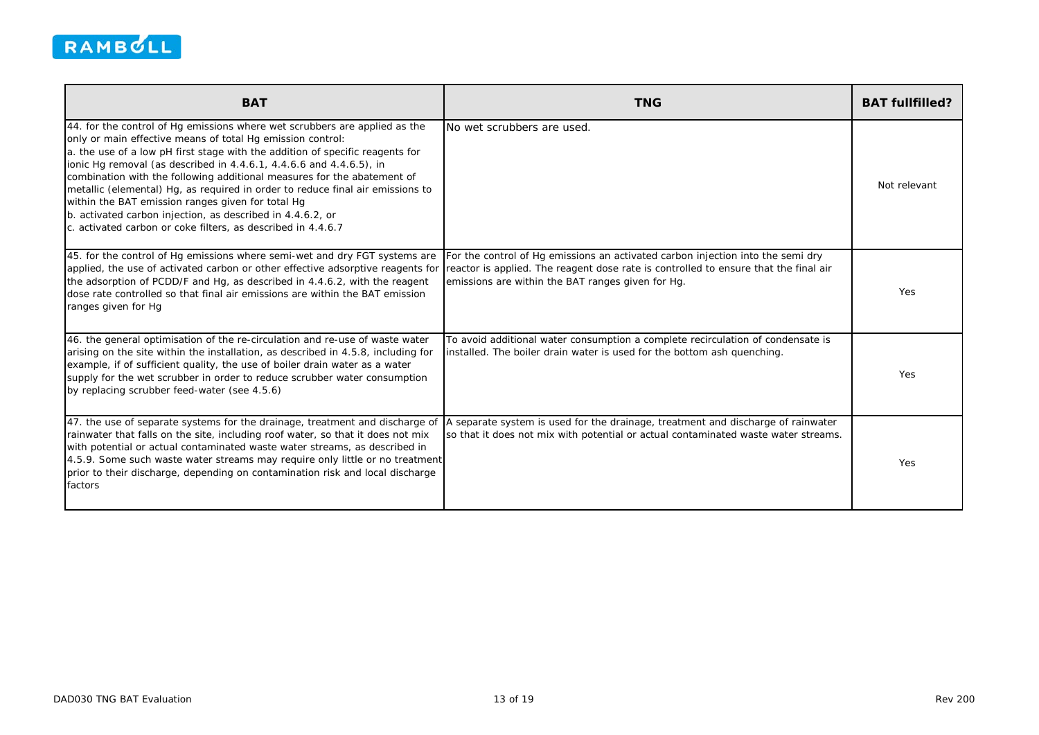

| <b>BAT</b>                                                                                                                                                                                                                                                                                                                                                                                                                                                                                                                                                                                                                                       | <b>TNG</b>                                                                                                                                                                                                                   | <b>BAT fullfilled?</b> |
|--------------------------------------------------------------------------------------------------------------------------------------------------------------------------------------------------------------------------------------------------------------------------------------------------------------------------------------------------------------------------------------------------------------------------------------------------------------------------------------------------------------------------------------------------------------------------------------------------------------------------------------------------|------------------------------------------------------------------------------------------------------------------------------------------------------------------------------------------------------------------------------|------------------------|
| 44. for the control of Hg emissions where wet scrubbers are applied as the<br>only or main effective means of total Hg emission control:<br>a. the use of a low pH first stage with the addition of specific reagents for<br>ionic Hg removal (as described in 4.4.6.1, 4.4.6.6 and 4.4.6.5), in<br>combination with the following additional measures for the abatement of<br>metallic (elemental) Hq, as required in order to reduce final air emissions to<br>within the BAT emission ranges given for total Hg<br>b. activated carbon injection, as described in 4.4.6.2, or<br>c. activated carbon or coke filters, as described in 4.4.6.7 | No wet scrubbers are used.                                                                                                                                                                                                   | Not relevant           |
| 45. for the control of Hg emissions where semi-wet and dry FGT systems are<br>applied, the use of activated carbon or other effective adsorptive reagents for<br>the adsorption of PCDD/F and Hg, as described in 4.4.6.2, with the reagent<br>dose rate controlled so that final air emissions are within the BAT emission<br>ranges given for Hg                                                                                                                                                                                                                                                                                               | For the control of Hg emissions an activated carbon injection into the semi dry<br>reactor is applied. The reagent dose rate is controlled to ensure that the final air<br>emissions are within the BAT ranges given for Hg. | Yes                    |
| 46. the general optimisation of the re-circulation and re-use of waste water<br>arising on the site within the installation, as described in 4.5.8, including for<br>example, if of sufficient quality, the use of boiler drain water as a water<br>supply for the wet scrubber in order to reduce scrubber water consumption<br>by replacing scrubber feed-water (see 4.5.6)                                                                                                                                                                                                                                                                    | To avoid additional water consumption a complete recirculation of condensate is<br>installed. The boiler drain water is used for the bottom ash quenching.                                                                   | Yes                    |
| 47. the use of separate systems for the drainage, treatment and discharge of<br>rainwater that falls on the site, including roof water, so that it does not mix<br>with potential or actual contaminated waste water streams, as described in<br>4.5.9. Some such waste water streams may require only little or no treatment<br>prior to their discharge, depending on contamination risk and local discharge<br>factors                                                                                                                                                                                                                        | A separate system is used for the drainage, treatment and discharge of rainwater<br>so that it does not mix with potential or actual contaminated waste water streams.                                                       | Yes                    |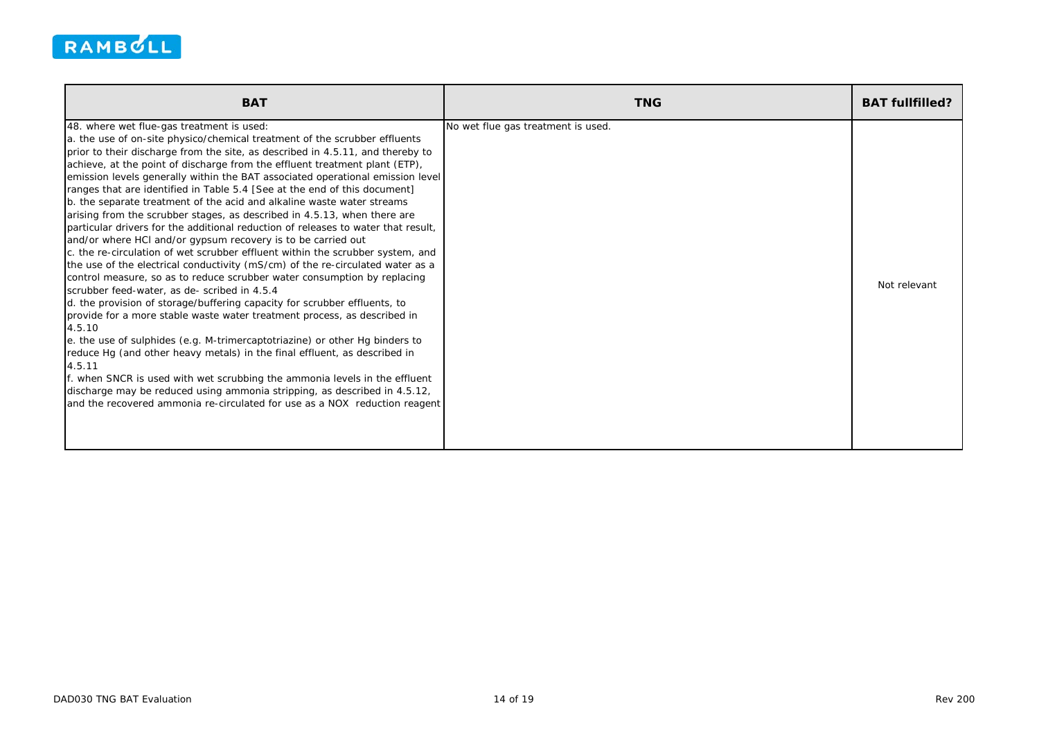

| <b>BAT</b>                                                                                                                                                                                                                                                                                                                                                                                                                                                                                                                                                                                                                                                                                                                                                                                                                                                                                                                                                                                                                                                                                                                                                                                                                                                                                                                                                                                                                                                                                                                                                                                                                                            | <b>TNG</b>                         | <b>BAT fullfilled?</b> |
|-------------------------------------------------------------------------------------------------------------------------------------------------------------------------------------------------------------------------------------------------------------------------------------------------------------------------------------------------------------------------------------------------------------------------------------------------------------------------------------------------------------------------------------------------------------------------------------------------------------------------------------------------------------------------------------------------------------------------------------------------------------------------------------------------------------------------------------------------------------------------------------------------------------------------------------------------------------------------------------------------------------------------------------------------------------------------------------------------------------------------------------------------------------------------------------------------------------------------------------------------------------------------------------------------------------------------------------------------------------------------------------------------------------------------------------------------------------------------------------------------------------------------------------------------------------------------------------------------------------------------------------------------------|------------------------------------|------------------------|
| 48. where wet flue-gas treatment is used:<br>a. the use of on-site physico/chemical treatment of the scrubber effluents<br>prior to their discharge from the site, as described in 4.5.11, and thereby to<br>achieve, at the point of discharge from the effluent treatment plant (ETP),<br>emission levels generally within the BAT associated operational emission level<br>ranges that are identified in Table 5.4 [See at the end of this document]<br>b. the separate treatment of the acid and alkaline waste water streams<br>arising from the scrubber stages, as described in 4.5.13, when there are<br>Iparticular drivers for the additional reduction of releases to water that result.<br>and/or where HCI and/or gypsum recovery is to be carried out<br>c. the re-circulation of wet scrubber effluent within the scrubber system, and<br>the use of the electrical conductivity (mS/cm) of the re-circulated water as a<br>control measure, so as to reduce scrubber water consumption by replacing<br>scrubber feed-water, as de- scribed in 4.5.4<br>d. the provision of storage/buffering capacity for scrubber effluents, to<br>provide for a more stable waste water treatment process, as described in<br>4.5.10<br>e. the use of sulphides (e.g. M-trimercaptotriazine) or other Hg binders to<br>reduce Hg (and other heavy metals) in the final effluent, as described in<br>4.5.11<br>f. when SNCR is used with wet scrubbing the ammonia levels in the effluent<br>discharge may be reduced using ammonia stripping, as described in 4.5.12,<br>and the recovered ammonia re-circulated for use as a NOX reduction reagent | No wet flue gas treatment is used. | Not relevant           |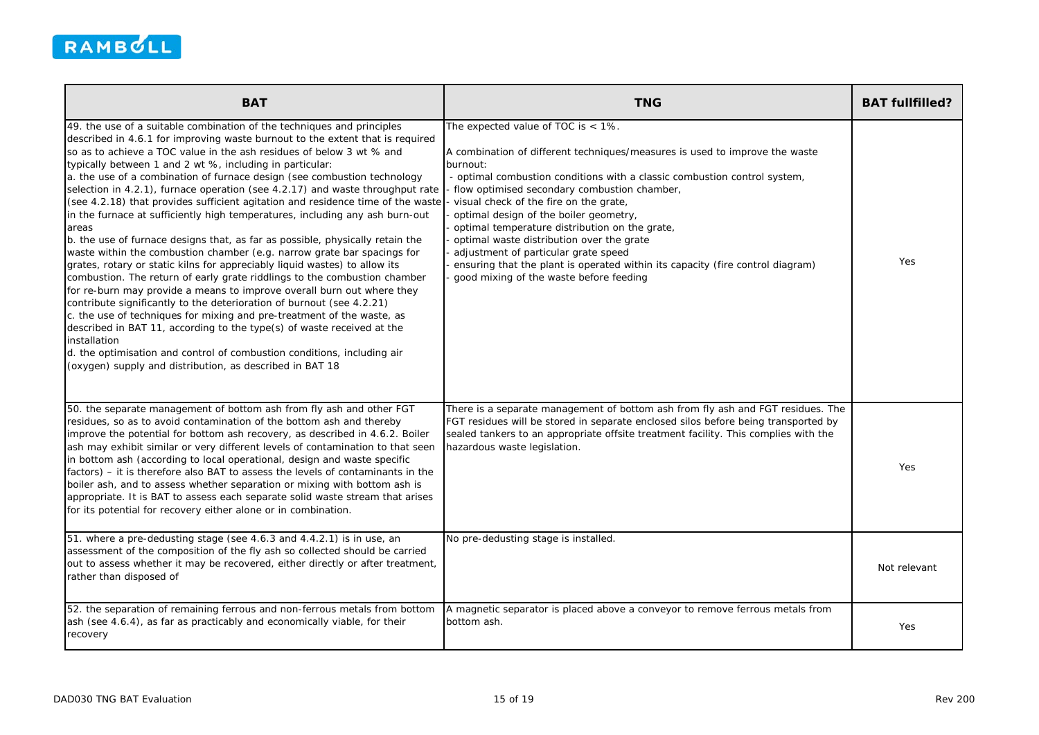

| <b>BAT</b>                                                                                                                                                                                                                                                                                                                                                                                                                                                                                                                                                                                                                                                                                                                                                                                                                                                                                                                                                                                                                                                                                                                                                                                                                                                                                                                                                                                                                | <b>TNG</b>                                                                                                                                                                                                                                                                                                                                                                                                                                                                                                                                                                                                             | <b>BAT fullfilled?</b> |
|---------------------------------------------------------------------------------------------------------------------------------------------------------------------------------------------------------------------------------------------------------------------------------------------------------------------------------------------------------------------------------------------------------------------------------------------------------------------------------------------------------------------------------------------------------------------------------------------------------------------------------------------------------------------------------------------------------------------------------------------------------------------------------------------------------------------------------------------------------------------------------------------------------------------------------------------------------------------------------------------------------------------------------------------------------------------------------------------------------------------------------------------------------------------------------------------------------------------------------------------------------------------------------------------------------------------------------------------------------------------------------------------------------------------------|------------------------------------------------------------------------------------------------------------------------------------------------------------------------------------------------------------------------------------------------------------------------------------------------------------------------------------------------------------------------------------------------------------------------------------------------------------------------------------------------------------------------------------------------------------------------------------------------------------------------|------------------------|
| 49. the use of a suitable combination of the techniques and principles<br>described in 4.6.1 for improving waste burnout to the extent that is required<br>so as to achieve a TOC value in the ash residues of below 3 wt % and<br>typically between 1 and 2 wt %, including in particular:<br>a. the use of a combination of furnace design (see combustion technology<br>selection in 4.2.1), furnace operation (see 4.2.17) and waste throughput rate<br>(see 4.2.18) that provides sufficient agitation and residence time of the waste<br>in the furnace at sufficiently high temperatures, including any ash burn-out<br>areas<br>b. the use of furnace designs that, as far as possible, physically retain the<br>waste within the combustion chamber (e.g. narrow grate bar spacings for<br>grates, rotary or static kilns for appreciably liquid wastes) to allow its<br>combustion. The return of early grate riddlings to the combustion chamber<br>for re-burn may provide a means to improve overall burn out where they<br>contribute significantly to the deterioration of burnout (see 4.2.21)<br>c. the use of techniques for mixing and pre-treatment of the waste, as<br>described in BAT 11, according to the type(s) of waste received at the<br>installation<br>d. the optimisation and control of combustion conditions, including air<br>(oxygen) supply and distribution, as described in BAT 18 | The expected value of TOC is $<$ 1%.<br>A combination of different techniques/measures is used to improve the waste<br>burnout:<br>- optimal combustion conditions with a classic combustion control system,<br>- flow optimised secondary combustion chamber,<br>visual check of the fire on the grate,<br>optimal design of the boiler geometry,<br>optimal temperature distribution on the grate,<br>optimal waste distribution over the grate<br>adjustment of particular grate speed<br>ensuring that the plant is operated within its capacity (fire control diagram)<br>good mixing of the waste before feeding | Yes                    |
| 50. the separate management of bottom ash from fly ash and other FGT<br>residues, so as to avoid contamination of the bottom ash and thereby<br>improve the potential for bottom ash recovery, as described in 4.6.2. Boiler<br>ash may exhibit similar or very different levels of contamination to that seen<br>in bottom ash (according to local operational, design and waste specific<br>factors) – it is therefore also BAT to assess the levels of contaminants in the<br>boiler ash, and to assess whether separation or mixing with bottom ash is<br>appropriate. It is BAT to assess each separate solid waste stream that arises<br>for its potential for recovery either alone or in combination.                                                                                                                                                                                                                                                                                                                                                                                                                                                                                                                                                                                                                                                                                                             | There is a separate management of bottom ash from fly ash and FGT residues. The<br>FGT residues will be stored in separate enclosed silos before being transported by<br>sealed tankers to an appropriate offsite treatment facility. This complies with the<br>hazardous waste legislation.                                                                                                                                                                                                                                                                                                                           | Yes                    |
| 51. where a pre-dedusting stage (see 4.6.3 and 4.4.2.1) is in use, an<br>assessment of the composition of the fly ash so collected should be carried<br>out to assess whether it may be recovered, either directly or after treatment,<br>rather than disposed of                                                                                                                                                                                                                                                                                                                                                                                                                                                                                                                                                                                                                                                                                                                                                                                                                                                                                                                                                                                                                                                                                                                                                         | No pre-dedusting stage is installed.                                                                                                                                                                                                                                                                                                                                                                                                                                                                                                                                                                                   | Not relevant           |
| 52. the separation of remaining ferrous and non-ferrous metals from bottom<br>ash (see 4.6.4), as far as practicably and economically viable, for their<br>recovery                                                                                                                                                                                                                                                                                                                                                                                                                                                                                                                                                                                                                                                                                                                                                                                                                                                                                                                                                                                                                                                                                                                                                                                                                                                       | A magnetic separator is placed above a conveyor to remove ferrous metals from<br>bottom ash.                                                                                                                                                                                                                                                                                                                                                                                                                                                                                                                           | Yes                    |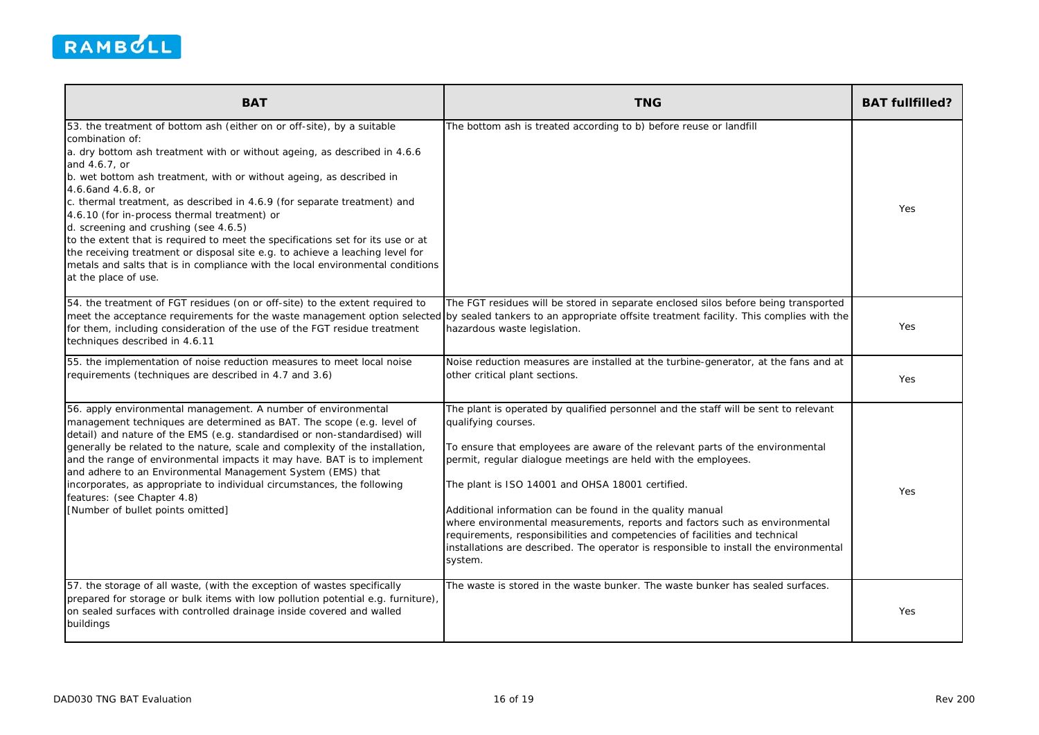

| <b>BAT</b>                                                                                                                                                                                                                                                                                                                                                                                                                                                                                                                                                                                                                                                                                                                               | <b>TNG</b>                                                                                                                                                                                                                                                                                                                                                                                                                                                                                                                                                                                                                                       | <b>BAT fullfilled?</b> |
|------------------------------------------------------------------------------------------------------------------------------------------------------------------------------------------------------------------------------------------------------------------------------------------------------------------------------------------------------------------------------------------------------------------------------------------------------------------------------------------------------------------------------------------------------------------------------------------------------------------------------------------------------------------------------------------------------------------------------------------|--------------------------------------------------------------------------------------------------------------------------------------------------------------------------------------------------------------------------------------------------------------------------------------------------------------------------------------------------------------------------------------------------------------------------------------------------------------------------------------------------------------------------------------------------------------------------------------------------------------------------------------------------|------------------------|
| 53. the treatment of bottom ash (either on or off-site), by a suitable<br>combination of:<br>a. dry bottom ash treatment with or without ageing, as described in 4.6.6<br>and 4.6.7, or<br>b. wet bottom ash treatment, with or without ageing, as described in<br>4.6.6and 4.6.8, or<br>c. thermal treatment, as described in 4.6.9 (for separate treatment) and<br>4.6.10 (for in-process thermal treatment) or<br>d. screening and crushing (see 4.6.5)<br>to the extent that is required to meet the specifications set for its use or at<br>the receiving treatment or disposal site e.g. to achieve a leaching level for<br>metals and salts that is in compliance with the local environmental conditions<br>at the place of use. | The bottom ash is treated according to b) before reuse or landfill                                                                                                                                                                                                                                                                                                                                                                                                                                                                                                                                                                               | Yes                    |
| 54. the treatment of FGT residues (on or off-site) to the extent required to<br>for them, including consideration of the use of the FGT residue treatment<br>techniques described in 4.6.11                                                                                                                                                                                                                                                                                                                                                                                                                                                                                                                                              | The FGT residues will be stored in separate enclosed silos before being transported<br>meet the acceptance requirements for the waste management option selected by sealed tankers to an appropriate offsite treatment facility. This complies with the<br>hazardous waste legislation.                                                                                                                                                                                                                                                                                                                                                          | Yes                    |
| 55. the implementation of noise reduction measures to meet local noise<br>requirements (techniques are described in 4.7 and 3.6)                                                                                                                                                                                                                                                                                                                                                                                                                                                                                                                                                                                                         | Noise reduction measures are installed at the turbine-generator, at the fans and at<br>other critical plant sections.                                                                                                                                                                                                                                                                                                                                                                                                                                                                                                                            | Yes                    |
| 56. apply environmental management. A number of environmental<br>management techniques are determined as BAT. The scope (e.g. level of<br>detail) and nature of the EMS (e.g. standardised or non-standardised) will<br>generally be related to the nature, scale and complexity of the installation,<br>and the range of environmental impacts it may have. BAT is to implement<br>and adhere to an Environmental Management System (EMS) that<br>incorporates, as appropriate to individual circumstances, the following<br>features: (see Chapter 4.8)<br>[Number of bullet points omitted]                                                                                                                                           | The plant is operated by qualified personnel and the staff will be sent to relevant<br>qualifying courses.<br>To ensure that employees are aware of the relevant parts of the environmental<br>permit, regular dialogue meetings are held with the employees.<br>The plant is ISO 14001 and OHSA 18001 certified.<br>Additional information can be found in the quality manual<br>where environmental measurements, reports and factors such as environmental<br>requirements, responsibilities and competencies of facilities and technical<br>installations are described. The operator is responsible to install the environmental<br>system. | Yes                    |
| 57. the storage of all waste, (with the exception of wastes specifically<br>prepared for storage or bulk items with low pollution potential e.g. furniture),<br>on sealed surfaces with controlled drainage inside covered and walled<br>buildings                                                                                                                                                                                                                                                                                                                                                                                                                                                                                       | The waste is stored in the waste bunker. The waste bunker has sealed surfaces.                                                                                                                                                                                                                                                                                                                                                                                                                                                                                                                                                                   | Yes                    |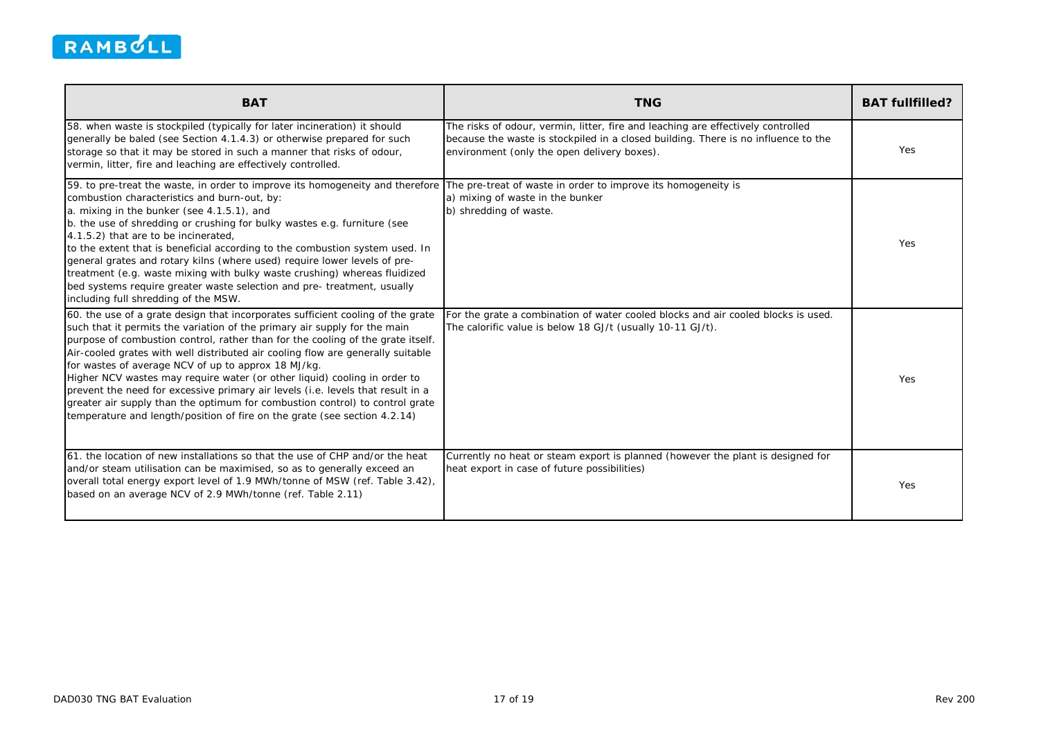

| <b>BAT</b>                                                                                                                                                                                                                                                                                                                                                                                                                                                                                                                                                                                                                                                                                                             | <b>TNG</b>                                                                                                                                                                                                            | <b>BAT fullfilled?</b> |
|------------------------------------------------------------------------------------------------------------------------------------------------------------------------------------------------------------------------------------------------------------------------------------------------------------------------------------------------------------------------------------------------------------------------------------------------------------------------------------------------------------------------------------------------------------------------------------------------------------------------------------------------------------------------------------------------------------------------|-----------------------------------------------------------------------------------------------------------------------------------------------------------------------------------------------------------------------|------------------------|
| 58. when waste is stockpiled (typically for later incineration) it should<br>generally be baled (see Section 4.1.4.3) or otherwise prepared for such<br>storage so that it may be stored in such a manner that risks of odour,<br>vermin, litter, fire and leaching are effectively controlled.                                                                                                                                                                                                                                                                                                                                                                                                                        | The risks of odour, vermin, litter, fire and leaching are effectively controlled<br>because the waste is stockpiled in a closed building. There is no influence to the<br>environment (only the open delivery boxes). | Yes                    |
| 59. to pre-treat the waste, in order to improve its homogeneity and therefore<br>combustion characteristics and burn-out, by:<br>a. mixing in the bunker (see 4.1.5.1), and<br>b. the use of shredding or crushing for bulky wastes e.g. furniture (see<br>4.1.5.2) that are to be incinerated,<br>to the extent that is beneficial according to the combustion system used. In<br>general grates and rotary kilns (where used) require lower levels of pre-<br>treatment (e.g. waste mixing with bulky waste crushing) whereas fluidized<br>bed systems require greater waste selection and pre- treatment, usually<br>including full shredding of the MSW.                                                           | The pre-treat of waste in order to improve its homogeneity is<br>a) mixing of waste in the bunker<br>b) shredding of waste.                                                                                           | Yes                    |
| 60. the use of a grate design that incorporates sufficient cooling of the grate<br>such that it permits the variation of the primary air supply for the main<br>purpose of combustion control, rather than for the cooling of the grate itself.<br>Air-cooled grates with well distributed air cooling flow are generally suitable<br>for wastes of average NCV of up to approx 18 MJ/kg.<br>Higher NCV wastes may require water (or other liquid) cooling in order to<br>prevent the need for excessive primary air levels (i.e. levels that result in a<br>greater air supply than the optimum for combustion control) to control grate<br>temperature and length/position of fire on the grate (see section 4.2.14) | For the grate a combination of water cooled blocks and air cooled blocks is used.<br>The calorific value is below 18 GJ/t (usually 10-11 GJ/t).                                                                       | Yes                    |
| 61, the location of new installations so that the use of CHP and/or the heat<br>and/or steam utilisation can be maximised, so as to generally exceed an<br>overall total energy export level of 1.9 MWh/tonne of MSW (ref. Table 3.42),<br>based on an average NCV of 2.9 MWh/tonne (ref. Table 2.11)                                                                                                                                                                                                                                                                                                                                                                                                                  | Currently no heat or steam export is planned (however the plant is designed for<br>heat export in case of future possibilities)                                                                                       | Yes                    |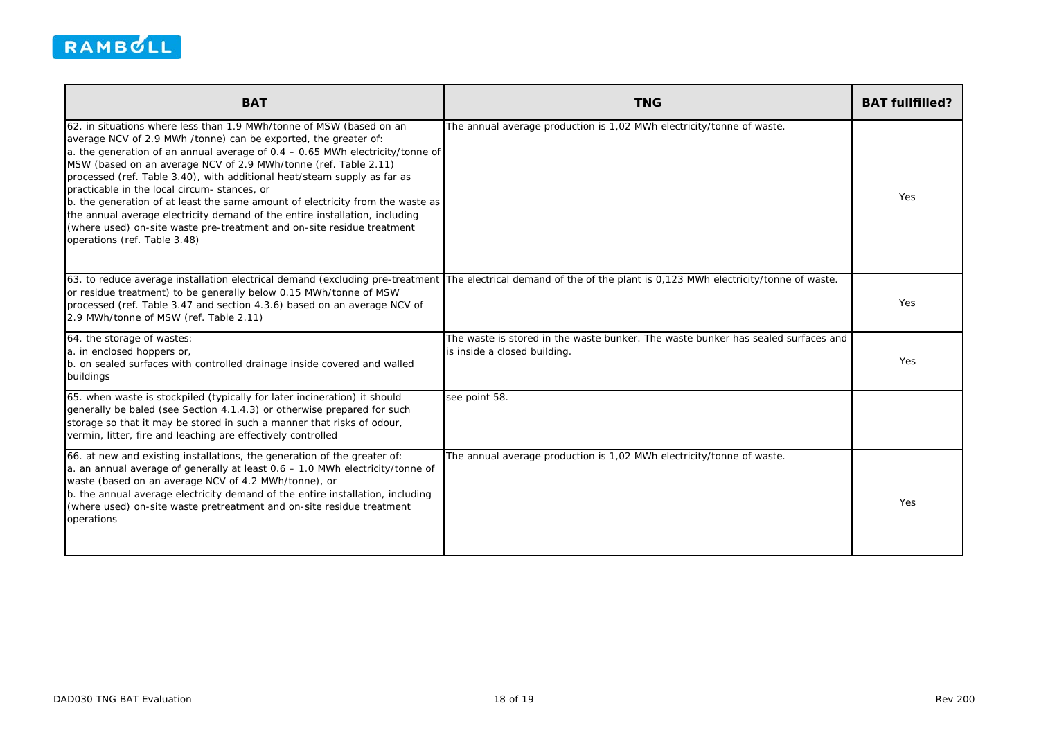

| <b>BAT</b>                                                                                                                                                                                                                                                                                                                                                                                                                                                                                                                                                                                                                                                                                         | <b>TNG</b>                                                                                                        | <b>BAT fullfilled?</b> |
|----------------------------------------------------------------------------------------------------------------------------------------------------------------------------------------------------------------------------------------------------------------------------------------------------------------------------------------------------------------------------------------------------------------------------------------------------------------------------------------------------------------------------------------------------------------------------------------------------------------------------------------------------------------------------------------------------|-------------------------------------------------------------------------------------------------------------------|------------------------|
| 62. in situations where less than 1.9 MWh/tonne of MSW (based on an<br>average NCV of 2.9 MWh /tonne) can be exported, the greater of:<br>a. the generation of an annual average of $0.4 - 0.65$ MWh electricity/tonne of<br>MSW (based on an average NCV of 2.9 MWh/tonne (ref. Table 2.11)<br>processed (ref. Table 3.40), with additional heat/steam supply as far as<br>practicable in the local circum-stances, or<br>b. the generation of at least the same amount of electricity from the waste as<br>the annual average electricity demand of the entire installation, including<br>(where used) on-site waste pre-treatment and on-site residue treatment<br>operations (ref. Table 3.48) | The annual average production is 1,02 MWh electricity/tonne of waste.                                             | Yes                    |
| 63. to reduce average installation electrical demand (excluding pre-treatment<br>or residue treatment) to be generally below 0.15 MWh/tonne of MSW<br>processed (ref. Table 3.47 and section 4.3.6) based on an average NCV of<br>2.9 MWh/tonne of MSW (ref. Table 2.11)                                                                                                                                                                                                                                                                                                                                                                                                                           | The electrical demand of the of the plant is 0,123 MWh electricity/tonne of waste.                                | Yes                    |
| 64. the storage of wastes:<br>a. in enclosed hoppers or,<br>b. on sealed surfaces with controlled drainage inside covered and walled<br>buildings                                                                                                                                                                                                                                                                                                                                                                                                                                                                                                                                                  | The waste is stored in the waste bunker. The waste bunker has sealed surfaces and<br>is inside a closed building. | Yes                    |
| 65. when waste is stockpiled (typically for later incineration) it should<br>generally be baled (see Section 4.1.4.3) or otherwise prepared for such<br>storage so that it may be stored in such a manner that risks of odour,<br>vermin, litter, fire and leaching are effectively controlled                                                                                                                                                                                                                                                                                                                                                                                                     | see point 58.                                                                                                     |                        |
| 66. at new and existing installations, the generation of the greater of:<br>a. an annual average of generally at least 0.6 - 1.0 MWh electricity/tonne of<br>waste (based on an average NCV of 4.2 MWh/tonne), or<br>b. the annual average electricity demand of the entire installation, including<br>(where used) on-site waste pretreatment and on-site residue treatment<br>operations                                                                                                                                                                                                                                                                                                         | The annual average production is 1,02 MWh electricity/tonne of waste.                                             | <b>Yes</b>             |